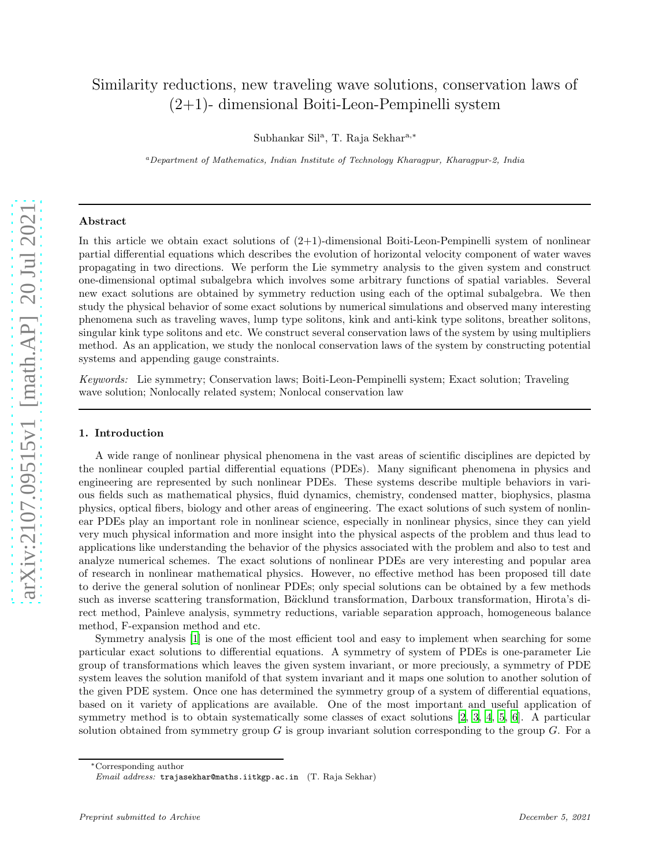# Similarity reductions, new traveling wave solutions, conservation laws of (2+1)- dimensional Boiti-Leon-Pempinelli system

Subhankar Sil<sup>a</sup>, T. Raja Sekhar<sup>a,\*</sup>

<sup>a</sup>Department of Mathematics, Indian Institute of Technology Kharagpur, Kharagpur-2, India

# Abstract

In this article we obtain exact solutions of  $(2+1)$ -dimensional Boiti-Leon-Pempinelli system of nonlinear partial differential equations which describes the evolution of horizontal velocity component of water waves propagating in two directions. We perform the Lie symmetry analysis to the given system and construct one-dimensional optimal subalgebra which involves some arbitrary functions of spatial variables. Several new exact solutions are obtained by symmetry reduction using each of the optimal subalgebra. We then study the physical behavior of some exact solutions by numerical simulations and observed many interesting phenomena such as traveling waves, lump type solitons, kink and anti-kink type solitons, breather solitons, singular kink type solitons and etc. We construct several conservation laws of the system by using multipliers method. As an application, we study the nonlocal conservation laws of the system by constructing potential systems and appending gauge constraints.

Keywords: Lie symmetry; Conservation laws; Boiti-Leon-Pempinelli system; Exact solution; Traveling wave solution; Nonlocally related system; Nonlocal conservation law

# 1. Introduction

A wide range of nonlinear physical phenomena in the vast areas of scientific disciplines are depicted by the nonlinear coupled partial differential equations (PDEs). Many significant phenomena in physics and engineering are represented by such nonlinear PDEs. These systems describe multiple behaviors in various fields such as mathematical physics, fluid dynamics, chemistry, condensed matter, biophysics, plasma physics, optical fibers, biology and other areas of engineering. The exact solutions of such system of nonlinear PDEs play an important role in nonlinear science, especially in nonlinear physics, since they can yield very much physical information and more insight into the physical aspects of the problem and thus lead to applications like understanding the behavior of the physics associated with the problem and also to test and analyze numerical schemes. The exact solutions of nonlinear PDEs are very interesting and popular area of research in nonlinear mathematical physics. However, no effective method has been proposed till date to derive the general solution of nonlinear PDEs; only special solutions can be obtained by a few methods such as inverse scattering transformation, Bäcklund transformation, Darboux transformation, Hirota's direct method, Painleve analysis, symmetry reductions, variable separation approach, homogeneous balance method, F-expansion method and etc.

Symmetry analysis [\[1](#page-21-0)] is one of the most efficient tool and easy to implement when searching for some particular exact solutions to differential equations. A symmetry of system of PDEs is one-parameter Lie group of transformations which leaves the given system invariant, or more preciously, a symmetry of PDE system leaves the solution manifold of that system invariant and it maps one solution to another solution of the given PDE system. Once one has determined the symmetry group of a system of differential equations, based on it variety of applications are available. One of the most important and useful application of symmetry method is to obtain systematically some classes of exact solutions [\[2,](#page-21-1) [3,](#page-21-2) [4,](#page-21-3) [5](#page-21-4), [6](#page-21-5)]. A particular solution obtained from symmetry group  $G$  is group invariant solution corresponding to the group  $G$ . For a

<sup>∗</sup>Corresponding author

Email address: trajasekhar@maths.iitkgp.ac.in (T. Raja Sekhar)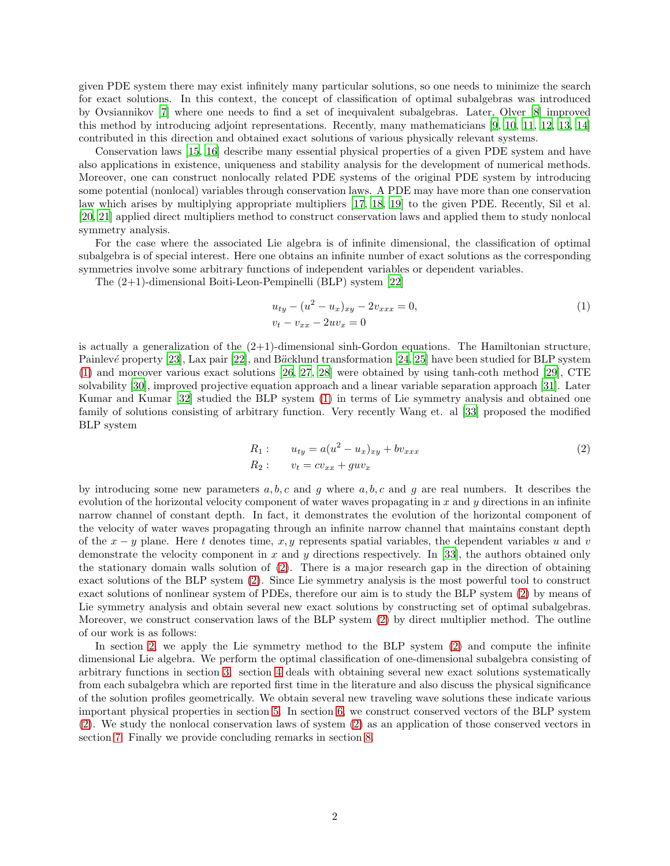given PDE system there may exist infinitely many particular solutions, so one needs to minimize the search for exact solutions. In this context, the concept of classification of optimal subalgebras was introduced by Ovsiannikov [\[7](#page-21-6)] where one needs to find a set of inequivalent subalgebras. Later, Olver [\[8\]](#page-21-7) improved this method by introducing adjoint representations. Recently, many mathematicians [\[9](#page-21-8), [10,](#page-21-9) [11](#page-21-10), [12,](#page-21-11) [13,](#page-21-12) [14](#page-21-13)] contributed in this direction and obtained exact solutions of various physically relevant systems.

Conservation laws [\[15](#page-21-14), [16\]](#page-21-15) describe many essential physical properties of a given PDE system and have also applications in existence, uniqueness and stability analysis for the development of numerical methods. Moreover, one can construct nonlocally related PDE systems of the original PDE system by introducing some potential (nonlocal) variables through conservation laws. A PDE may have more than one conservation law which arises by multiplying appropriate multipliers [\[17](#page-21-16), [18,](#page-22-0) [19\]](#page-22-1) to the given PDE. Recently, Sil et al. [\[20,](#page-22-2) [21](#page-22-3)] applied direct multipliers method to construct conservation laws and applied them to study nonlocal symmetry analysis.

For the case where the associated Lie algebra is of infinite dimensional, the classification of optimal subalgebra is of special interest. Here one obtains an infinite number of exact solutions as the corresponding symmetries involve some arbitrary functions of independent variables or dependent variables.

The (2+1)-dimensional Boiti-Leon-Pempinelli (BLP) system [\[22](#page-22-4)]

<span id="page-1-0"></span>
$$
u_{ty} - (u^2 - u_x)_{xy} - 2v_{xxx} = 0,
$$
  
\n
$$
v_t - v_{xx} - 2uv_x = 0
$$
\n(1)

is actually a generalization of the  $(2+1)$ -dimensional sinh-Gordon equations. The Hamiltonian structure, Painlevé property [\[23](#page-22-5)], Lax pair [\[22\]](#page-22-4), and Bäcklund transformation [\[24,](#page-22-6) [25](#page-22-7)] have been studied for BLP system [\(1\)](#page-1-0) and moreover various exact solutions [\[26](#page-22-8), [27,](#page-22-9) [28\]](#page-22-10) were obtained by using tanh-coth method [\[29](#page-22-11)], CTE solvability [\[30\]](#page-22-12), improved projective equation approach and a linear variable separation approach [\[31\]](#page-22-13). Later Kumar and Kumar [\[32\]](#page-22-14) studied the BLP system [\(1\)](#page-1-0) in terms of Lie symmetry analysis and obtained one family of solutions consisting of arbitrary function. Very recently Wang et. al [\[33](#page-22-15)] proposed the modified BLP system

<span id="page-1-1"></span>
$$
R_1: \t u_{ty} = a(u^2 - u_x)_{xy} + bv_{xxx}
$$
  
\n
$$
R_2: \t v_t = cv_{xx} + guv_x
$$
\n(2)

by introducing some new parameters  $a, b, c$  and q where  $a, b, c$  and q are real numbers. It describes the evolution of the horizontal velocity component of water waves propagating in x and y directions in an infinite narrow channel of constant depth. In fact, it demonstrates the evolution of the horizontal component of the velocity of water waves propagating through an infinite narrow channel that maintains constant depth of the  $x - y$  plane. Here t denotes time, x, y represents spatial variables, the dependent variables u and v demonstrate the velocity component in x and y directions respectively. In [\[33\]](#page-22-15), the authors obtained only the stationary domain walls solution of [\(2\)](#page-1-1). There is a major research gap in the direction of obtaining exact solutions of the BLP system [\(2\)](#page-1-1). Since Lie symmetry analysis is the most powerful tool to construct exact solutions of nonlinear system of PDEs, therefore our aim is to study the BLP system [\(2\)](#page-1-1) by means of Lie symmetry analysis and obtain several new exact solutions by constructing set of optimal subalgebras. Moreover, we construct conservation laws of the BLP system [\(2\)](#page-1-1) by direct multiplier method. The outline of our work is as follows:

In section [2,](#page-2-0) we apply the Lie symmetry method to the BLP system [\(2\)](#page-1-1) and compute the infinite dimensional Lie algebra. We perform the optimal classification of one-dimensional subalgebra consisting of arbitrary functions in section [3.](#page-3-0) section [4](#page-5-0) deals with obtaining several new exact solutions systematically from each subalgebra which are reported first time in the literature and also discuss the physical significance of the solution profiles geometrically. We obtain several new traveling wave solutions these indicate various important physical properties in section [5.](#page-13-0) In section [6,](#page-16-0) we construct conserved vectors of the BLP system [\(2\)](#page-1-1). We study the nonlocal conservation laws of system [\(2\)](#page-1-1) as an application of those conserved vectors in section [7.](#page-18-0) Finally we provide concluding remarks in section [8.](#page-20-0)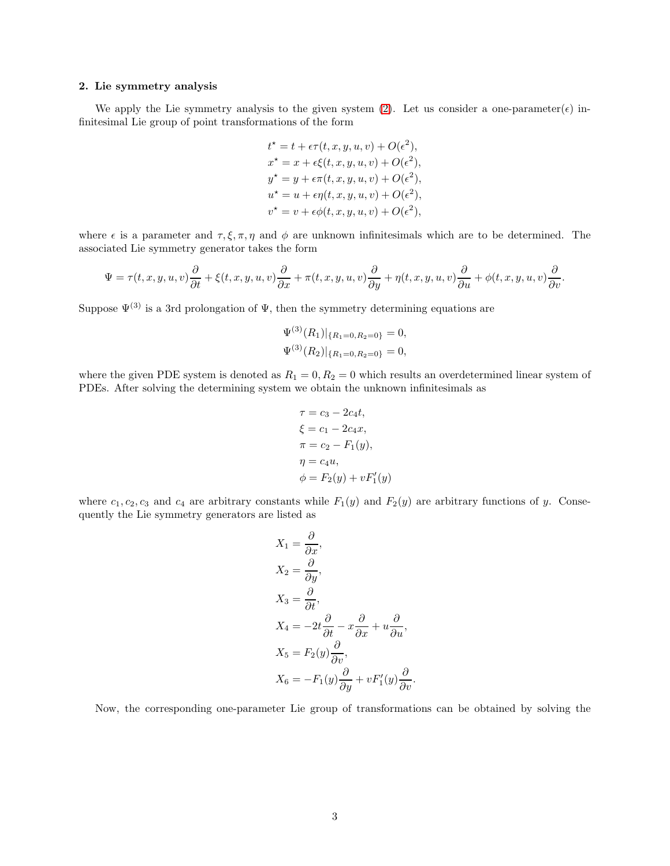# <span id="page-2-0"></span>2. Lie symmetry analysis

We apply the Lie symmetry analysis to the given system [\(2\)](#page-1-1). Let us consider a one-parameter( $\epsilon$ ) infinitesimal Lie group of point transformations of the form

$$
t^* = t + \epsilon \tau(t, x, y, u, v) + O(\epsilon^2),
$$
  
\n
$$
x^* = x + \epsilon \xi(t, x, y, u, v) + O(\epsilon^2),
$$
  
\n
$$
y^* = y + \epsilon \tau(t, x, y, u, v) + O(\epsilon^2),
$$
  
\n
$$
u^* = u + \epsilon \eta(t, x, y, u, v) + O(\epsilon^2),
$$
  
\n
$$
v^* = v + \epsilon \phi(t, x, y, u, v) + O(\epsilon^2),
$$

where  $\epsilon$  is a parameter and  $\tau, \xi, \pi, \eta$  and  $\phi$  are unknown infinitesimals which are to be determined. The associated Lie symmetry generator takes the form

$$
\Psi = \tau(t, x, y, u, v)\frac{\partial}{\partial t} + \xi(t, x, y, u, v)\frac{\partial}{\partial x} + \pi(t, x, y, u, v)\frac{\partial}{\partial y} + \eta(t, x, y, u, v)\frac{\partial}{\partial u} + \phi(t, x, y, u, v)\frac{\partial}{\partial v}.
$$

Suppose  $\Psi^{(3)}$  is a 3rd prolongation of  $\Psi$ , then the symmetry determining equations are

$$
\Psi^{(3)}(R_1)|_{\{R_1=0, R_2=0\}} = 0,
$$
  

$$
\Psi^{(3)}(R_2)|_{\{R_1=0, R_2=0\}} = 0,
$$

where the given PDE system is denoted as  $R_1 = 0, R_2 = 0$  which results an overdetermined linear system of PDEs. After solving the determining system we obtain the unknown infinitesimals as

$$
\tau = c_3 - 2c_4t,\n\xi = c_1 - 2c_4x,\n\pi = c_2 - F_1(y),\n\eta = c_4u,\n\phi = F_2(y) + vF'_1(y)
$$

where  $c_1, c_2, c_3$  and  $c_4$  are arbitrary constants while  $F_1(y)$  and  $F_2(y)$  are arbitrary functions of y. Consequently the Lie symmetry generators are listed as

$$
X_1 = \frac{\partial}{\partial x},
$$
  
\n
$$
X_2 = \frac{\partial}{\partial y},
$$
  
\n
$$
X_3 = \frac{\partial}{\partial t},
$$
  
\n
$$
X_4 = -2t\frac{\partial}{\partial t} - x\frac{\partial}{\partial x} + u\frac{\partial}{\partial u},
$$
  
\n
$$
X_5 = F_2(y)\frac{\partial}{\partial v},
$$
  
\n
$$
X_6 = -F_1(y)\frac{\partial}{\partial y} + vF'_1(y)\frac{\partial}{\partial v}.
$$

Now, the corresponding one-parameter Lie group of transformations can be obtained by solving the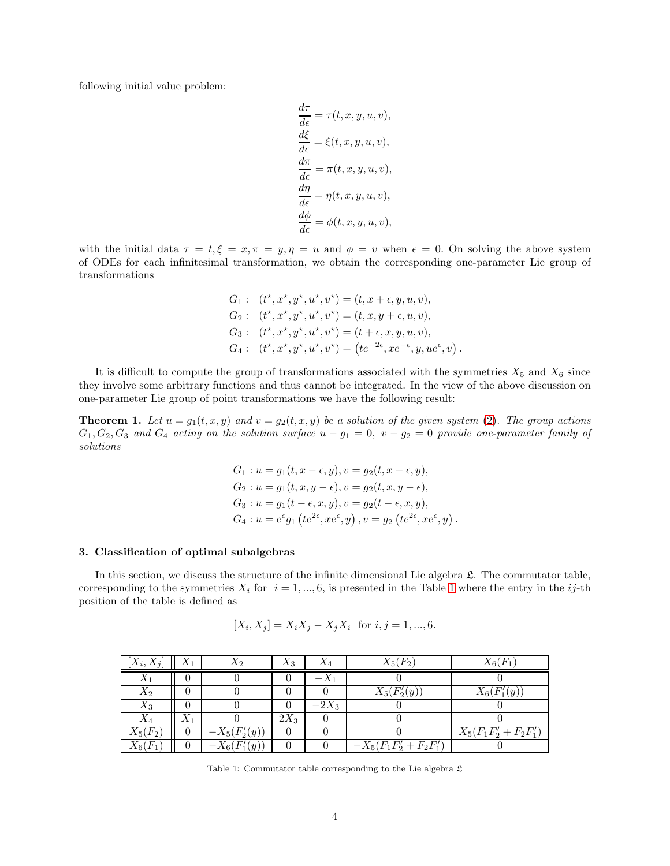following initial value problem:

$$
\begin{aligned}\n\frac{d\tau}{d\epsilon} &= \tau(t, x, y, u, v), \\
\frac{d\xi}{d\epsilon} &= \xi(t, x, y, u, v), \\
\frac{d\pi}{d\epsilon} &= \pi(t, x, y, u, v), \\
\frac{d\eta}{d\epsilon} &= \eta(t, x, y, u, v), \\
\frac{d\phi}{d\epsilon} &= \phi(t, x, y, u, v),\n\end{aligned}
$$

with the initial data  $\tau = t, \xi = x, \pi = y, \eta = u$  and  $\phi = v$  when  $\epsilon = 0$ . On solving the above system of ODEs for each infinitesimal transformation, we obtain the corresponding one-parameter Lie group of transformations

$$
G_1: (t^*, x^*, y^*, u^*, v^*) = (t, x + \epsilon, y, u, v),
$$
  
\n
$$
G_2: (t^*, x^*, y^*, u^*, v^*) = (t, x, y + \epsilon, u, v),
$$
  
\n
$$
G_3: (t^*, x^*, y^*, u^*, v^*) = (t + \epsilon, x, y, u, v),
$$
  
\n
$$
G_4: (t^*, x^*, y^*, u^*, v^*) = (te^{-2\epsilon}, xe^{-\epsilon}, y, ue^{\epsilon}, v).
$$

It is difficult to compute the group of transformations associated with the symmetries  $X_5$  and  $X_6$  since they involve some arbitrary functions and thus cannot be integrated. In the view of the above discussion on one-parameter Lie group of point transformations we have the following result:

**Theorem 1.** Let  $u = g_1(t, x, y)$  and  $v = g_2(t, x, y)$  be a solution of the given system [\(2\)](#page-1-1). The group actions  $G_1, G_2, G_3$  and  $G_4$  acting on the solution surface  $u - g_1 = 0$ ,  $v - g_2 = 0$  provide one-parameter family of solutions

$$
G_1: u = g_1(t, x - \epsilon, y), v = g_2(t, x - \epsilon, y),
$$
  
\n
$$
G_2: u = g_1(t, x, y - \epsilon), v = g_2(t, x, y - \epsilon),
$$
  
\n
$$
G_3: u = g_1(t - \epsilon, x, y), v = g_2(t - \epsilon, x, y),
$$
  
\n
$$
G_4: u = e^{\epsilon}g_1 \left( t e^{2\epsilon}, x e^{\epsilon}, y \right), v = g_2 \left( t e^{2\epsilon}, x e^{\epsilon}, y \right).
$$

## <span id="page-3-0"></span>3. Classification of optimal subalgebras

In this section, we discuss the structure of the infinite dimensional Lie algebra  $\mathfrak{L}$ . The commutator table, corresponding to the symmetries  $X_i$  for  $i = 1, ..., 6$  $i = 1, ..., 6$  $i = 1, ..., 6$ , is presented in the Table 1 where the entry in the ij-th position of the table is defined as

$$
[X_i, X_j] = X_i X_j - X_j X_i \text{ for } i, j = 1, ..., 6.
$$

<span id="page-3-1"></span>

| $[X_i,X_j]$ |             | $\Lambda$ 2                       | $A_3$  |         | $X_5(F_2)$              | $X_6(F)$               |
|-------------|-------------|-----------------------------------|--------|---------|-------------------------|------------------------|
|             |             |                                   |        |         |                         |                        |
| $X_2$       |             |                                   |        |         | $X_5(F'_2(y))$          | $X_6(F'_1(y))$         |
| $X_3$       |             |                                   |        | $-2X_3$ |                         |                        |
|             | $\Lambda$ 1 |                                   | $2X_3$ |         |                         |                        |
| $X_5(F_2)$  |             | $-X_5(F'_2(y)$                    |        |         |                         | $X_5(F_1F_2'+F_2F_1')$ |
| $X_6($      |             | $-X_6(F'_1)$<br>(y <sub>1</sub> ) |        |         | $-X_5(F_1F'_2+F_2F'_1)$ |                        |

Table 1: Commutator table corresponding to the Lie algebra  ${\mathfrak{L}}$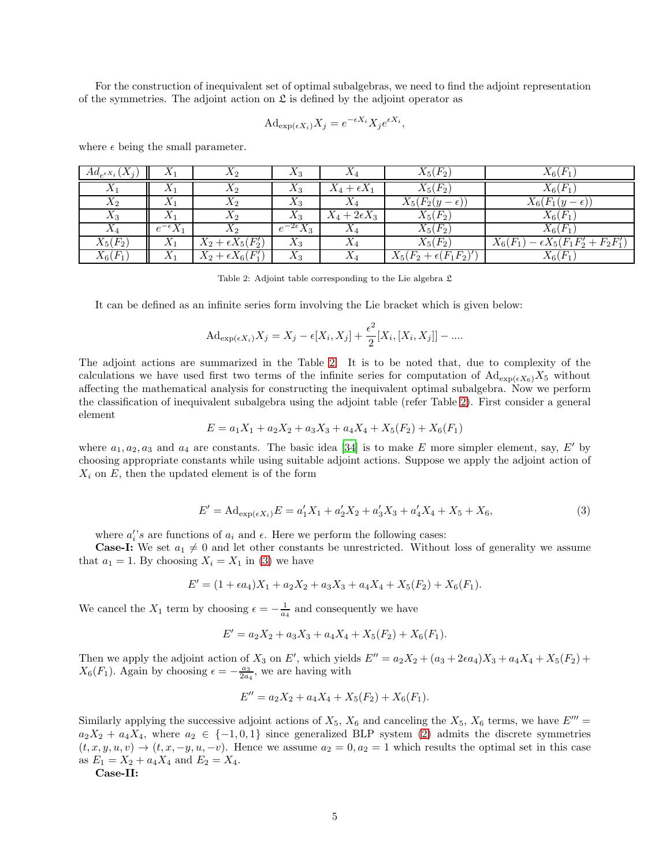For the construction of inequivalent set of optimal subalgebras, we need to find the adjoint representation of the symmetries. The adjoint action on  $\mathfrak L$  is defined by the adjoint operator as

$$
\mathrm{Ad}_{\exp(\epsilon X_i)} X_j = e^{-\epsilon X_i} X_j e^{\epsilon X_i},
$$

| $Ad_{e^{\epsilon X_i}}(X_j)$ | $\Lambda_1$        | $X_2$                      | $A_3$                    | $\Lambda_4$          | $X_5(F_2)$                   | $X_6(F_1)$                                     |
|------------------------------|--------------------|----------------------------|--------------------------|----------------------|------------------------------|------------------------------------------------|
| $X_1$                        | $\Lambda_1$        | $X_2$                      | $X_3$                    | $X_4 + \epsilon X_1$ | $X_5(F_2)$                   | $X_6(F_1)$                                     |
| $X_2$                        | $X_1$              | $X_2$                      | $X_3$                    | $\Lambda_4$          | $X_5(F_2(y-\epsilon))$       | $X_6(F_1(y-\epsilon))$                         |
| $X_3$                        | $X_1$              | $X_2$                      | $X_3$                    | $X_4+2\epsilon X_3$  | $X_5(F_2)$                   | $X_6(F_1)$                                     |
| $X_4$                        | $e^{-\epsilon}X_1$ | $X_2$                      | $^{-2\epsilon}\bar{X_3}$ | $X_4$                | $X_5(F_2)$                   | $X_6(F_1)$                                     |
| $X_5(F_2)$                   | $X_1$              | $X_2 + \epsilon X_5(F_2')$ | $X_3$                    | $X_4$                | $X_5(F_2)$                   | $-\epsilon X_5(F_1F_2'+F_2F_1')$<br>$X_6(F_1)$ |
| $X_6(F_1)$                   | $X_1$              | $X_2 + \epsilon X_6(F_1')$ | $X_3$                    | $X_4$                | $X_5(F_2+\epsilon(F_1F_2)')$ | $X_6(F_1)$                                     |

<span id="page-4-0"></span>where  $\epsilon$  being the small parameter.

Table 2: Adjoint table corresponding to the Lie algebra  $\mathfrak L$ 

It can be defined as an infinite series form involving the Lie bracket which is given below:

$$
\mathrm{Ad}_{\exp(\epsilon X_i)} X_j = X_j - \epsilon [X_i, X_j] + \frac{\epsilon^2}{2} [X_i, [X_i, X_j]] - \dots
$$

The adjoint actions are summarized in the Table [2.](#page-4-0) It is to be noted that, due to complexity of the calculations we have used first two terms of the infinite series for computation of  $\text{Ad}_{\exp(\epsilon X_6)} X_5$  without affecting the mathematical analysis for constructing the inequivalent optimal subalgebra. Now we perform the classification of inequivalent subalgebra using the adjoint table (refer Table [2\)](#page-4-0). First consider a general element

$$
E = a_1 X_1 + a_2 X_2 + a_3 X_3 + a_4 X_4 + X_5(F_2) + X_6(F_1)
$$

where  $a_1, a_2, a_3$  and  $a_4$  are constants. The basic idea [\[34\]](#page-22-16) is to make E more simpler element, say, E' by choosing appropriate constants while using suitable adjoint actions. Suppose we apply the adjoint action of  $X_i$  on E, then the updated element is of the form

<span id="page-4-1"></span>
$$
E' = \mathrm{Ad}_{\exp(\epsilon X_i)} E = a'_1 X_1 + a'_2 X_2 + a'_3 X_3 + a'_4 X_4 + X_5 + X_6,\tag{3}
$$

where  $a_i's$  are functions of  $a_i$  and  $\epsilon$ . Here we perform the following cases:

**Case-I:** We set  $a_1 \neq 0$  and let other constants be unrestricted. Without loss of generality we assume that  $a_1 = 1$ . By choosing  $X_i = X_1$  in [\(3\)](#page-4-1) we have

$$
E' = (1 + \epsilon a_4)X_1 + a_2X_2 + a_3X_3 + a_4X_4 + X_5(F_2) + X_6(F_1).
$$

We cancel the  $X_1$  term by choosing  $\epsilon = -\frac{1}{a_4}$  and consequently we have

$$
E' = a_2X_2 + a_3X_3 + a_4X_4 + X_5(F_2) + X_6(F_1).
$$

Then we apply the adjoint action of  $X_3$  on E', which yields  $E'' = a_2X_2 + (a_3 + 2\epsilon a_4)X_3 + a_4X_4 + X_5(F_2) +$  $X_6(F_1)$ . Again by choosing  $\epsilon = -\frac{a_3}{2a_4}$ , we are having with

$$
E'' = a_2 X_2 + a_4 X_4 + X_5(F_2) + X_6(F_1).
$$

Similarly applying the successive adjoint actions of  $X_5$ ,  $X_6$  and canceling the  $X_5$ ,  $X_6$  terms, we have  $E''' =$  $a_2X_2 + a_4X_4$ , where  $a_2 \in \{-1,0,1\}$  since generalized BLP system [\(2\)](#page-1-1) admits the discrete symmetries  $(t, x, y, u, v) \rightarrow (t, x, -y, u, -v)$ . Hence we assume  $a_2 = 0, a_2 = 1$  which results the optimal set in this case as  $E_1 = X_2 + a_4X_4$  and  $E_2 = X_4$ .

Case-II: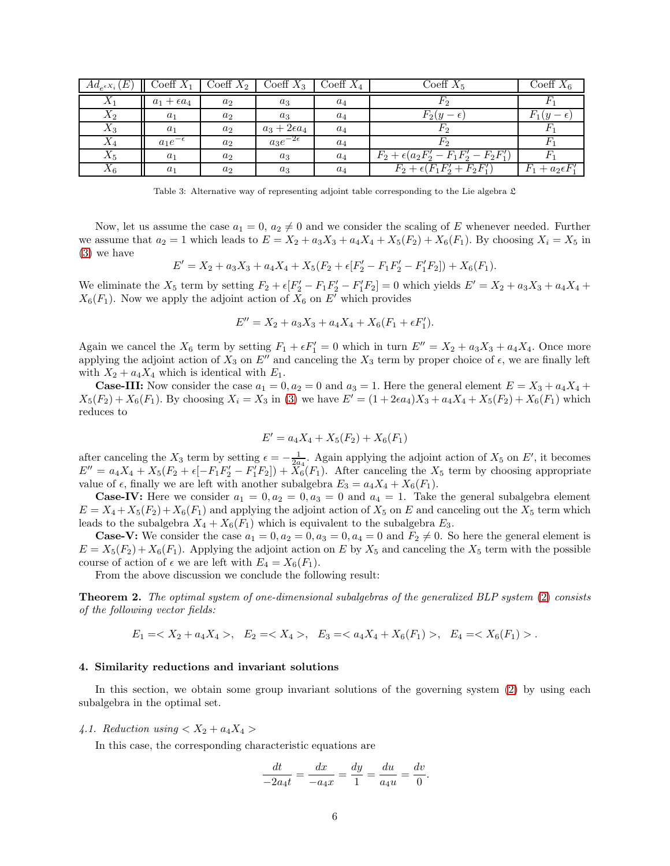| $Ad_{e^{\epsilon X_i}}(E)$ | Coeff $X_1$          | Coeff $X_2$ | Coeff $X_3$         | Coeff $X_4$ | Coeff $X_5$                                       | Coeff $X_6$               |
|----------------------------|----------------------|-------------|---------------------|-------------|---------------------------------------------------|---------------------------|
| $X_1$                      | $a_1 + \epsilon a_4$ | $a_2$       | $a_3$               | $a_4$       | F2                                                |                           |
| $X_2$                      | $a_1$                | $a_2$       | $a_3$               | $a_4$       | $F_2(y-\epsilon)$                                 | $F_1(y)$                  |
| $X_3$                      | $a_1$                | $a_2$       | $a_3+2\epsilon a_4$ | $a_4$       | F2                                                |                           |
| $X_4$                      | $a_1e^{-\epsilon}$   | $a_2$       | $a_3e^{-2\epsilon}$ | $a_4$       | Fゥ                                                |                           |
| $X_5$                      | a <sub>1</sub>       | $a_2$       | $a_3$               | $a_4$       | $F_2 + \epsilon (a_2 F_2' - F_1 F_2' - F_2 F_1')$ |                           |
| $X_6$                      | $a_1$                | $a_2$       | $a_3$               | $a_4$       | $F_2 + \epsilon (F_1 F_2' + F_2 F_1')$            | $F_1 + a_2 \epsilon F_1'$ |

Table 3: Alternative way of representing adjoint table corresponding to the Lie algebra  $\mathfrak L$ 

Now, let us assume the case  $a_1 = 0$ ,  $a_2 \neq 0$  and we consider the scaling of E whenever needed. Further we assume that  $a_2 = 1$  which leads to  $E = X_2 + a_3X_3 + a_4X_4 + X_5(F_2) + X_6(F_1)$ . By choosing  $X_i = X_5$  in [\(3\)](#page-4-1) we have

$$
E' = X_2 + a_3 X_3 + a_4 X_4 + X_5 (F_2 + \epsilon [F'_2 - F_1 F'_2 - F'_1 F_2]) + X_6(F_1).
$$

We eliminate the  $X_5$  term by setting  $F_2 + \epsilon [F'_2 - F_1F'_2 - F'_1F_2] = 0$  which yields  $E' = X_2 + a_3X_3 + a_4X_4 +$  $X_6(F_1)$ . Now we apply the adjoint action of  $X_6$  on E' which provides

$$
E'' = X_2 + a_3 X_3 + a_4 X_4 + X_6 (F_1 + \epsilon F_1').
$$

Again we cancel the  $X_6$  term by setting  $F_1 + \epsilon F_1' = 0$  which in turn  $E'' = X_2 + a_3 X_3 + a_4 X_4$ . Once more applying the adjoint action of  $X_3$  on  $E''$  and canceling the  $X_3$  term by proper choice of  $\epsilon$ , we are finally left with  $X_2 + a_4X_4$  which is identical with  $E_1$ .

**Case-III:** Now consider the case  $a_1 = 0, a_2 = 0$  and  $a_3 = 1$ . Here the general element  $E = X_3 + a_4X_4 +$  $X_5(F_2) + X_6(F_1)$ . By choosing  $X_i = X_3$  in [\(3\)](#page-4-1) we have  $E' = (1 + 2\epsilon a_4)X_3 + a_4X_4 + X_5(F_2) + X_6(F_1)$  which reduces to

$$
E' = a_4 X_4 + X_5(F_2) + X_6(F_1)
$$

after canceling the  $X_3$  term by setting  $\epsilon = -\frac{1}{2a_4}$ . Again applying the adjoint action of  $X_5$  on  $E'$ , it becomes  $E'' = a_4X_4 + X_5(F_2 + \epsilon[-F_1F_2' - F_1'F_2]) + X_6(F_1)$ . After canceling the  $X_5$  term by choosing appropriate value of  $\epsilon$ , finally we are left with another subalgebra  $E_3 = a_4X_4 + X_6(F_1)$ .

**Case-IV:** Here we consider  $a_1 = 0, a_2 = 0, a_3 = 0$  and  $a_4 = 1$ . Take the general subalgebra element  $E = X_4 + X_5(F_2) + X_6(F_1)$  and applying the adjoint action of  $X_5$  on E and canceling out the  $X_5$  term which leads to the subalgebra  $X_4 + X_6(F_1)$  which is equivalent to the subalgebra  $E_3$ .

**Case-V:** We consider the case  $a_1 = 0, a_2 = 0, a_3 = 0, a_4 = 0$  and  $F_2 \neq 0$ . So here the general element is  $E = X_5(F_2) + X_6(F_1)$ . Applying the adjoint action on E by  $X_5$  and canceling the  $X_5$  term with the possible course of action of  $\epsilon$  we are left with  $E_4 = X_6(F_1)$ .

From the above discussion we conclude the following result:

**Theorem 2.** The optimal system of one-dimensional subalgebras of the generalized BLP system [\(2\)](#page-1-1) consists of the following vector fields:

$$
E_1 = , \quad E_2 = , \quad E_3 = , \quad E_4 = .
$$

## <span id="page-5-0"></span>4. Similarity reductions and invariant solutions

In this section, we obtain some group invariant solutions of the governing system [\(2\)](#page-1-1) by using each subalgebra in the optimal set.

#### 4.1. Reduction using  $\langle X_2 + a_4 X_4 \rangle$

In this case, the corresponding characteristic equations are

$$
\frac{dt}{-2a_4t} = \frac{dx}{-a_4x} = \frac{dy}{1} = \frac{du}{a_4u} = \frac{dv}{0}.
$$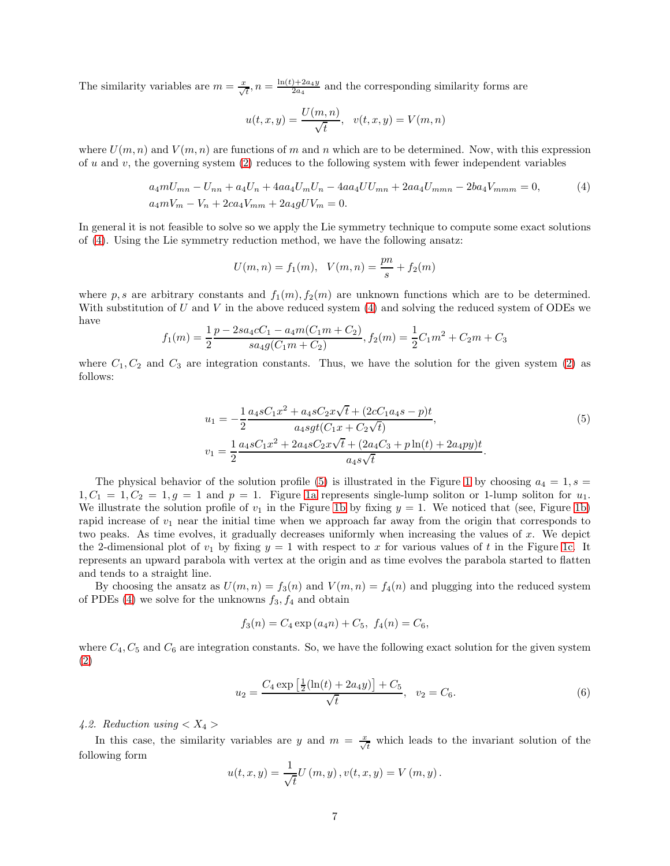The similarity variables are  $m = \frac{x}{\sqrt{t}}$ ,  $n = \frac{\ln(t) + 2a_4y}{2a_4}$  $\frac{2a_4y}{2a_4}$  and the corresponding similarity forms are

$$
u(t,x,y)=\frac{U(m,n)}{\sqrt{t}},\ \ v(t,x,y)=V(m,n)
$$

where  $U(m, n)$  and  $V(m, n)$  are functions of m and n which are to be determined. Now, with this expression of u and v, the governing system  $(2)$  reduces to the following system with fewer independent variables

<span id="page-6-0"></span>
$$
a_4mU_{mn} - U_{nn} + a_4U_n + 4aa_4U_mU_n - 4aa_4UU_{mn} + 2aa_4U_{mmn} - 2ba_4V_{mmm} = 0,
$$
  
\n
$$
a_4mV_m - V_n + 2ca_4V_{mm} + 2a_4gUV_m = 0.
$$
\n(4)

In general it is not feasible to solve so we apply the Lie symmetry technique to compute some exact solutions of [\(4\)](#page-6-0). Using the Lie symmetry reduction method, we have the following ansatz:

$$
U(m, n) = f_1(m), \quad V(m, n) = \frac{pn}{s} + f_2(m)
$$

where p, s are arbitrary constants and  $f_1(m)$ ,  $f_2(m)$  are unknown functions which are to be determined. With substitution of U and V in the above reduced system  $(4)$  and solving the reduced system of ODEs we have

$$
f_1(m) = \frac{1}{2} \frac{p - 2sa_4cC_1 - a_4m(C_1m + C_2)}{sa_4g(C_1m + C_2)}, f_2(m) = \frac{1}{2}C_1m^2 + C_2m + C_3
$$

where  $C_1, C_2$  and  $C_3$  are integration constants. Thus, we have the solution for the given system [\(2\)](#page-1-1) as follows:

<span id="page-6-1"></span>
$$
u_1 = -\frac{1}{2} \frac{a_4 s C_1 x^2 + a_4 s C_2 x \sqrt{t} + (2c C_1 a_4 s - p)t}{a_4 s g t (C_1 x + C_2 \sqrt{t})},
$$
  
\n
$$
v_1 = \frac{1}{2} \frac{a_4 s C_1 x^2 + 2a_4 s C_2 x \sqrt{t} + (2a_4 C_3 + p \ln(t) + 2a_4 p y)t}{a_4 s \sqrt{t}}.
$$
\n(5)

The physical behavior of the solution profile [\(5\)](#page-6-1) is illustrated in the Figure [1](#page-7-0) by choosing  $a_4 = 1, s =$  $1, C_1 = 1, C_2 = 1, g = 1$  and  $p = 1$ . Figure [1a](#page-7-1) represents single-lump soliton or 1-lump soliton for  $u_1$ . We illustrate the solution profile of  $v_1$  in the Figure [1b](#page-7-2) by fixing  $y = 1$ . We noticed that (see, Figure [1b\)](#page-7-2) rapid increase of  $v_1$  near the initial time when we approach far away from the origin that corresponds to two peaks. As time evolves, it gradually decreases uniformly when increasing the values of  $x$ . We depict the 2-dimensional plot of  $v_1$  by fixing  $y = 1$  with respect to x for various values of t in the Figure [1c.](#page-7-3) It represents an upward parabola with vertex at the origin and as time evolves the parabola started to flatten and tends to a straight line.

By choosing the ansatz as  $U(m, n) = f_3(n)$  and  $V(m, n) = f_4(n)$  and plugging into the reduced system of PDEs  $(4)$  we solve for the unknowns  $f_3, f_4$  and obtain

$$
f_3(n) = C_4 \exp(a_4 n) + C_5, f_4(n) = C_6,
$$

where  $C_4, C_5$  and  $C_6$  are integration constants. So, we have the following exact solution for the given system [\(2\)](#page-1-1)

<span id="page-6-2"></span>
$$
u_2 = \frac{C_4 \exp\left[\frac{1}{2}(\ln(t) + 2a_4y)\right] + C_5}{\sqrt{t}}, \quad v_2 = C_6. \tag{6}
$$

4.2. Reduction using  $\langle X_4 \rangle$ 

In this case, the similarity variables are y and  $m = \frac{x}{\sqrt{t}}$  which leads to the invariant solution of the following form

$$
u(t, x, y) = \frac{1}{\sqrt{t}} U(m, y), v(t, x, y) = V(m, y).
$$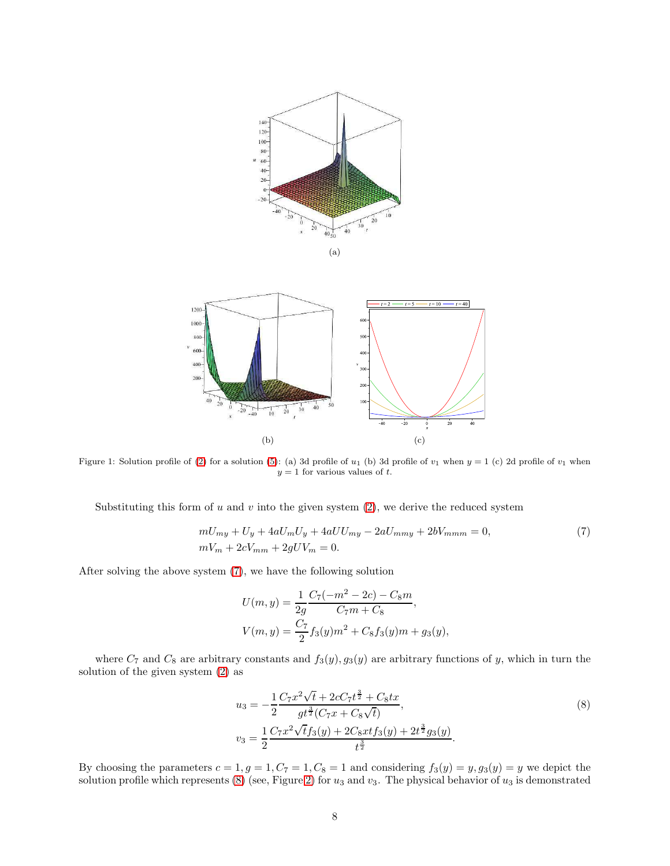<span id="page-7-1"></span><span id="page-7-0"></span>

<span id="page-7-3"></span>

<span id="page-7-2"></span>

Figure 1: Solution profile of [\(2\)](#page-1-1) for a solution [\(5\)](#page-6-1): (a) 3d profile of  $u_1$  (b) 3d profile of  $v_1$  when  $y = 1$  (c) 2d profile of  $v_1$  when  $y = 1$  for various values of t.

Substituting this form of u and v into the given system  $(2)$ , we derive the reduced system

<span id="page-7-4"></span>
$$
mU_{my} + U_y + 4aU_mU_y + 4aUU_{my} - 2aU_{mmy} + 2bV_{mmm} = 0,
$$
  
\n
$$
mV_m + 2cV_{mm} + 2gUV_m = 0.
$$
\n(7)

After solving the above system [\(7\)](#page-7-4), we have the following solution

$$
U(m, y) = \frac{1}{2g} \frac{C_7(-m^2 - 2c) - C_8m}{C_7m + C_8},
$$
  

$$
V(m, y) = \frac{C_7}{2} f_3(y)m^2 + C_8 f_3(y)m + g_3(y),
$$

where  $C_7$  and  $C_8$  are arbitrary constants and  $f_3(y), g_3(y)$  are arbitrary functions of y, which in turn the solution of the given system [\(2\)](#page-1-1) as

<span id="page-7-5"></span>
$$
u_3 = -\frac{1}{2} \frac{C_7 x^2 \sqrt{t} + 2cC_7 t^{\frac{3}{2}} + C_8 tx}{gt^{\frac{3}{2}} (C_7 x + C_8 \sqrt{t})},
$$
  
\n
$$
v_3 = \frac{1}{2} \frac{C_7 x^2 \sqrt{t} f_3(y) + 2C_8 xt f_3(y) + 2t^{\frac{3}{2}} g_3(y)}{t^{\frac{3}{2}}}.
$$
\n(8)

By choosing the parameters  $c = 1, g = 1, C_7 = 1, C_8 = 1$  and considering  $f_3(y) = y, g_3(y) = y$  we depict the solution profile which represents [\(8\)](#page-7-5) (see, Figure [2\)](#page-8-0) for  $u_3$  and  $v_3$ . The physical behavior of  $u_3$  is demonstrated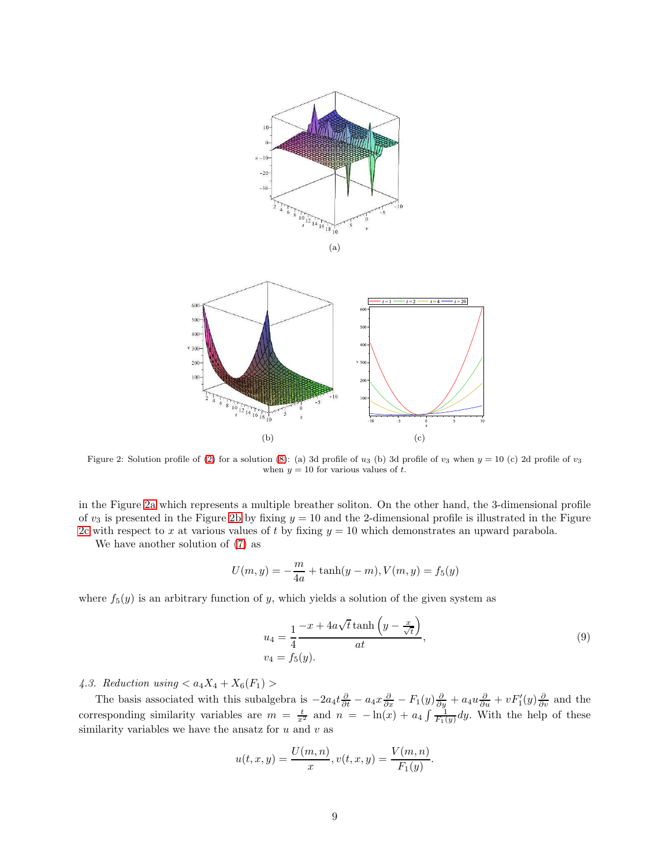<span id="page-8-1"></span><span id="page-8-0"></span>

<span id="page-8-2"></span>

Figure 2: Solution profile of [\(2\)](#page-1-1) for a solution [\(8\)](#page-7-5): (a) 3d profile of  $u_3$  (b) 3d profile of  $v_3$  when  $y = 10$  (c) 2d profile of  $v_3$ when  $y = 10$  for various values of t.

in the Figure [2a](#page-8-1) which represents a multiple breather soliton. On the other hand, the 3-dimensional profile of  $v_3$  is presented in the Figure [2b](#page-8-2) by fixing  $y = 10$  and the 2-dimensional profile is illustrated in the Figure [2c](#page-8-3) with respect to x at various values of t by fixing  $y = 10$  which demonstrates an upward parabola.

We have another solution of [\(7\)](#page-7-4) as

<span id="page-8-3"></span>
$$
U(m, y) = -\frac{m}{4a} + \tanh(y - m), V(m, y) = f_5(y)
$$

where  $f_5(y)$  is an arbitrary function of y, which yields a solution of the given system as

<span id="page-8-4"></span>
$$
u_4 = \frac{1}{4} \frac{-x + 4a\sqrt{t} \tanh\left(y - \frac{x}{\sqrt{t}}\right)}{at},
$$
  
\n
$$
v_4 = f_5(y).
$$
\n(9)

4.3. Reduction using  $\langle a_4X_4 + X_6(F_1) \rangle$ 

The basis associated with this subalgebra is  $-2a_4t\frac{\partial}{\partial t} - a_4x\frac{\partial}{\partial x} - F_1(y)\frac{\partial}{\partial y} + a_4u\frac{\partial}{\partial u} + vF'_1(y)\frac{\partial}{\partial v}$  and the corresponding similarity variables are  $m = \frac{t}{x^2}$  and  $n = -\ln(x) + a_4 \int \frac{1}{F_1(y)} dy$ . With the help of these similarity variables we have the ansatz for  $u$  and  $v$  as

$$
u(t, x, y) = \frac{U(m, n)}{x}, v(t, x, y) = \frac{V(m, n)}{F_1(y)}.
$$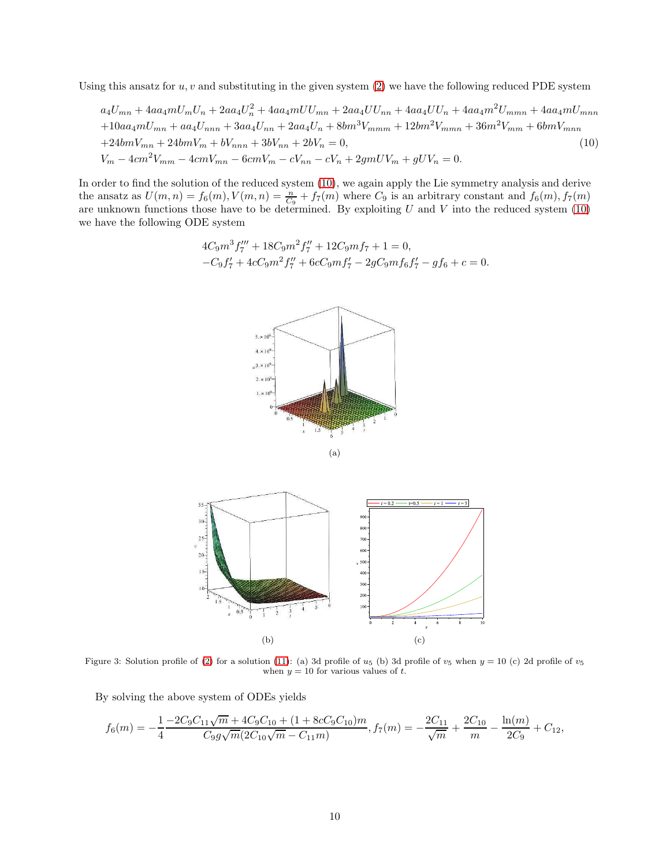Using this ansatz for  $u, v$  and substituting in the given system  $(2)$  we have the following reduced PDE system

<span id="page-9-0"></span>
$$
a_4U_{mn} + 4aa_4mU_mU_n + 2aa_4U_n^2 + 4aa_4mUU_{mn} + 2aa_4UU_{nn} + 4aa_4UU_n + 4aa_4m^2U_{mmn} + 4aa_4mU_{mnn}
$$

$$
+ 10aa_4mU_{mn} + aa_4U_{nnn} + 3aa_4U_{nn} + 2aa_4U_n + 8bm^3V_{mmm} + 12bm^2V_{mmm} + 36m^2V_{mm} + 6bmV_{mmn}
$$

$$
+ 24bmV_{mn} + 24bmV_{mn} + bV_{nnn} + 3bV_{nn} + 2bV_n = 0,
$$

$$
V_m - 4cm^2V_{mm} - 4cmV_{mn} - 6cmV_m - cV_{nn} - cV_n + 2gmUV_m + gUV_n = 0.
$$

$$
(10)
$$

<span id="page-9-2"></span><span id="page-9-1"></span>In order to find the solution of the reduced system [\(10\)](#page-9-0), we again apply the Lie symmetry analysis and derive the ansatz as  $U(m, n) = f_6(m)$ ,  $V(m, n) = \frac{n}{C_9} + f_7(m)$  where  $C_9$  is an arbitrary constant and  $f_6(m)$ ,  $f_7(m)$ are unknown functions those have to be determined. By exploiting  $U$  and  $V$  into the reduced system  $(10)$ we have the following ODE system

$$
4C_9m^3f_7'' + 18C_9m^2f_7'' + 12C_9mf_7 + 1 = 0,
$$
  

$$
-C_9f_7' + 4cC_9m^2f_7'' + 6cC_9mf_7' - 2gC_9mf_6f_7' - gf_6 + c = 0.
$$

<span id="page-9-3"></span>

Figure 3: Solution profile of [\(2\)](#page-1-1) for a solution [\(11\)](#page-10-0): (a) 3d profile of  $u_5$  (b) 3d profile of  $v_5$  when  $y = 10$  (c) 2d profile of  $v_5$ when  $y = 10$  for various values of t.

By solving the above system of ODEs yields

<span id="page-9-4"></span>
$$
f_6(m) = -\frac{1}{4} \frac{-2C_9C_{11}\sqrt{m} + 4C_9C_{10} + (1 + 8cC_9C_{10})m}{C_9g\sqrt{m}(2C_{10}\sqrt{m} - C_{11}m)}, f_7(m) = -\frac{2C_{11}}{\sqrt{m}} + \frac{2C_{10}}{m} - \frac{\ln(m)}{2C_9} + C_{12},
$$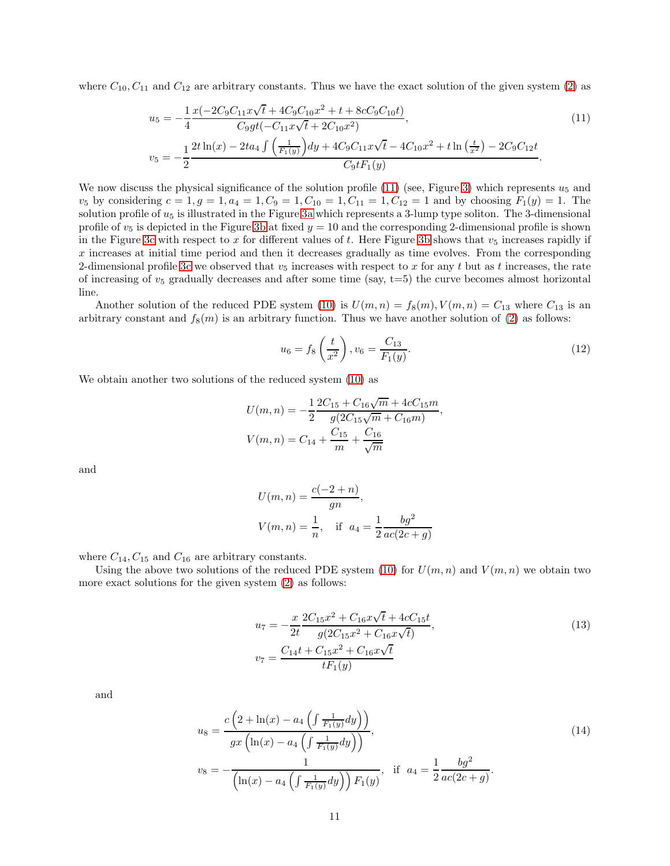where  $C_{10}$ ,  $C_{11}$  and  $C_{12}$  are arbitrary constants. Thus we have the exact solution of the given system [\(2\)](#page-1-1) as

<span id="page-10-0"></span>
$$
u_5 = -\frac{1}{4} \frac{x(-2C_9C_{11}x\sqrt{t} + 4C_9C_{10}x^2 + t + 8cC_9C_{10}t)}{C_9gt(-C_{11}x\sqrt{t} + 2C_{10}x^2)},
$$
\n(11)

$$
v_5 = -\frac{1}{2} \frac{2t \ln(x) - 2ta_4 \int \left(\frac{1}{F_1(y)}\right) dy + 4C_9 C_{11} x \sqrt{t} - 4C_{10} x^2 + t \ln\left(\frac{t}{x^2}\right) - 2C_9 C_{12} t}{C_9 t F_1(y)}.
$$

We now discuss the physical significance of the solution profile [\(11\)](#page-10-0) (see, Figure [3\)](#page-9-1) which represents  $u_5$  and  $v_5$  by considering  $c = 1, g = 1, a_4 = 1, C_9 = 1, C_{10} = 1, C_{11} = 1, C_{12} = 1$  and by choosing  $F_1(y) = 1$ . The solution profile of  $u_5$  is illustrated in the Figure [3a](#page-9-2) which represents a 3-lump type soliton. The 3-dimensional profile of  $v_5$  is depicted in the Figure [3b](#page-9-3) at fixed  $y = 10$  and the corresponding 2-dimensional profile is shown in the Figure [3c](#page-9-4) with respect to x for different values of t. Here Figure [3b](#page-9-3) shows that  $v_5$  increases rapidly if  $x$  increases at initial time period and then it decreases gradually as time evolves. From the corresponding 2-dimensional profile [3c](#page-9-4) we observed that  $v_5$  increases with respect to x for any t but as t increases, the rate of increasing of  $v_5$  gradually decreases and after some time (say,  $t=5$ ) the curve becomes almost horizontal line.

Another solution of the reduced PDE system [\(10\)](#page-9-0) is  $U(m, n) = f_8(m)$ ,  $V(m, n) = C_{13}$  where  $C_{13}$  is an arbitrary constant and  $f_8(m)$  is an arbitrary function. Thus we have another solution of [\(2\)](#page-1-1) as follows:

<span id="page-10-3"></span>
$$
u_6 = f_8\left(\frac{t}{x^2}\right), v_6 = \frac{C_{13}}{F_1(y)}.\tag{12}
$$

We obtain another two solutions of the reduced system [\(10\)](#page-9-0) as

$$
U(m,n) = -\frac{1}{2} \frac{2C_{15} + C_{16}\sqrt{m} + 4cC_{15}m}{g(2C_{15}\sqrt{m} + C_{16}m)},
$$
  

$$
V(m,n) = C_{14} + \frac{C_{15}}{m} + \frac{C_{16}}{\sqrt{m}}
$$

and

$$
U(m, n) = \frac{c(-2+n)}{gn},
$$
  
 
$$
V(m, n) = \frac{1}{n}, \text{ if } a_4 = \frac{1}{2} \frac{bg^2}{ac(2c+g)}
$$

where  $C_{14}$ ,  $C_{15}$  and  $C_{16}$  are arbitrary constants.

Using the above two solutions of the reduced PDE system [\(10\)](#page-9-0) for  $U(m, n)$  and  $V(m, n)$  we obtain two more exact solutions for the given system [\(2\)](#page-1-1) as follows:

<span id="page-10-1"></span>
$$
u_7 = -\frac{x}{2t} \frac{2C_{15}x^2 + C_{16}x\sqrt{t} + 4cC_{15}t}{g(2C_{15}x^2 + C_{16}x\sqrt{t})},
$$
  
\n
$$
v_7 = \frac{C_{14}t + C_{15}x^2 + C_{16}x\sqrt{t}}{tF_1(y)}
$$
\n(13)

and

<span id="page-10-2"></span>
$$
u_8 = \frac{c\left(2 + \ln(x) - a_4\left(\int \frac{1}{F_1(y)} dy\right)\right)}{gx\left(\ln(x) - a_4\left(\int \frac{1}{F_1(y)} dy\right)\right)},
$$
  
\n
$$
v_8 = -\frac{1}{\left(\ln(x) - a_4\left(\int \frac{1}{F_1(y)} dy\right)\right) F_1(y)}, \quad \text{if } a_4 = \frac{1}{2} \frac{b g^2}{ac(2c + g)}.
$$
\n(14)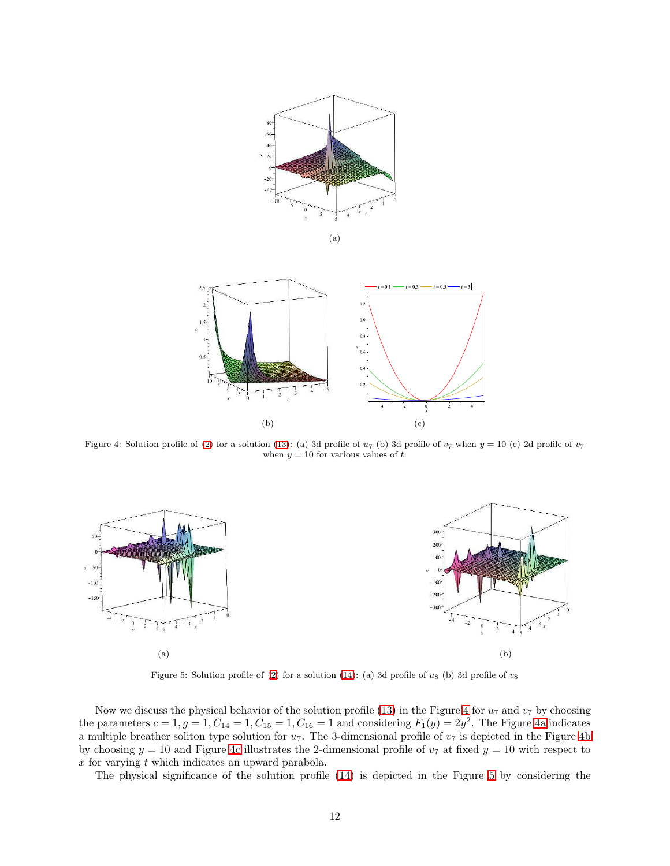<span id="page-11-1"></span><span id="page-11-0"></span>

<span id="page-11-3"></span>(a)

<span id="page-11-2"></span>

<span id="page-11-5"></span><span id="page-11-4"></span>Figure 4: Solution profile of [\(2\)](#page-1-1) for a solution [\(13\)](#page-10-1): (a) 3d profile of  $u_7$  (b) 3d profile of  $v_7$  when  $y = 10$  (c) 2d profile of  $v_7$ when  $y = 10$  for various values of t.



<span id="page-11-6"></span>Figure 5: Solution profile of [\(2\)](#page-1-1) for a solution [\(14\)](#page-10-2): (a) 3d profile of  $u_8$  (b) 3d profile of  $v_8$ 

Now we discuss the physical behavior of the solution profile [\(13\)](#page-10-1) in the Figure [4](#page-11-0) for  $u_7$  and  $v_7$  by choosing the parameters  $c = 1, g = 1, C_{14} = 1, C_{15} = 1, C_{16} = 1$  and considering  $F_1(y) = 2y^2$ . The Figure [4a](#page-11-1) indicates a multiple breather soliton type solution for  $u_7$ . The 3-dimensional profile of  $v_7$  is depicted in the Figure [4b](#page-11-2) by choosing  $y = 10$  and Figure [4c](#page-11-3) illustrates the 2-dimensional profile of  $v<sub>7</sub>$  at fixed  $y = 10$  with respect to  $x$  for varying  $t$  which indicates an upward parabola.

The physical significance of the solution profile [\(14\)](#page-10-2) is depicted in the Figure [5](#page-11-4) by considering the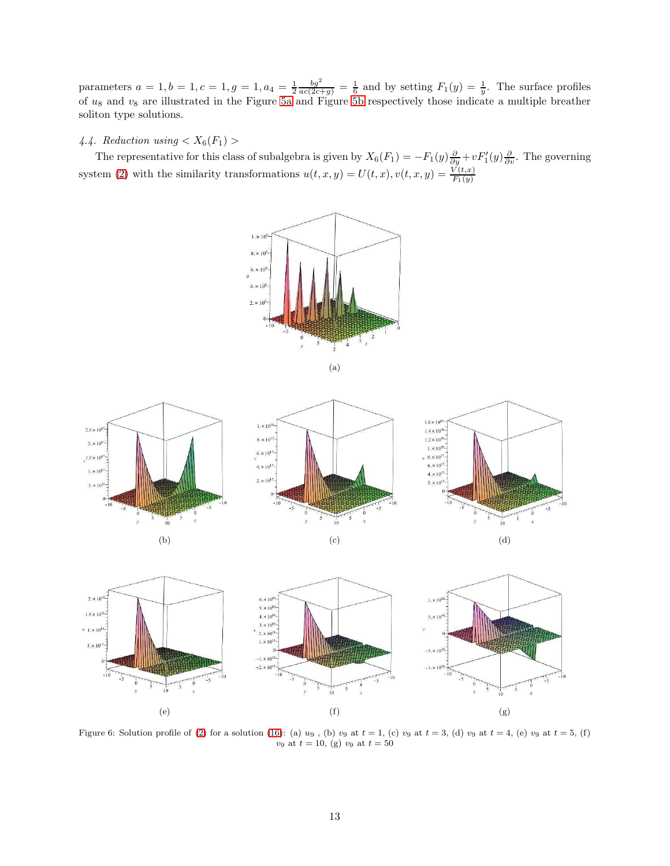parameters  $a = 1, b = 1, c = 1, g = 1, a_4 = \frac{1}{2} \frac{bg^2}{ac(2c+g)} = \frac{1}{6}$  and by setting  $F_1(y) = \frac{1}{y}$ . The surface profiles of  $u_8$  and  $v_8$  are illustrated in the Figure [5a](#page-11-5) and Figure [5b](#page-11-6) respectively those indicate a multiple breather soliton type solutions.

# 4.4. Reduction using  $X_6(F_1)$

<span id="page-12-1"></span><span id="page-12-0"></span>The representative for this class of subalgebra is given by  $X_6(F_1) = -F_1(y)\frac{\partial}{\partial y} + vF'_1(y)\frac{\partial}{\partial y}$ . The governing system [\(2\)](#page-1-1) with the similarity transformations  $u(t, x, y) = U(t, x), v(t, x, y) = \frac{V(t, x)}{F_1(y)}$ 



<span id="page-12-3"></span>

<span id="page-12-2"></span>

<span id="page-12-4"></span>

Figure 6: Solution profile of [\(2\)](#page-1-1) for a solution [\(16\)](#page-13-1): (a)  $u_9$ , (b)  $v_9$  at  $t = 1$ , (c)  $v_9$  at  $t = 3$ , (d)  $v_9$  at  $t = 4$ , (e)  $v_9$  at  $t = 5$ , (f)  $v_9$  at  $t = 10$ , (g)  $v_9$  at  $t = 50$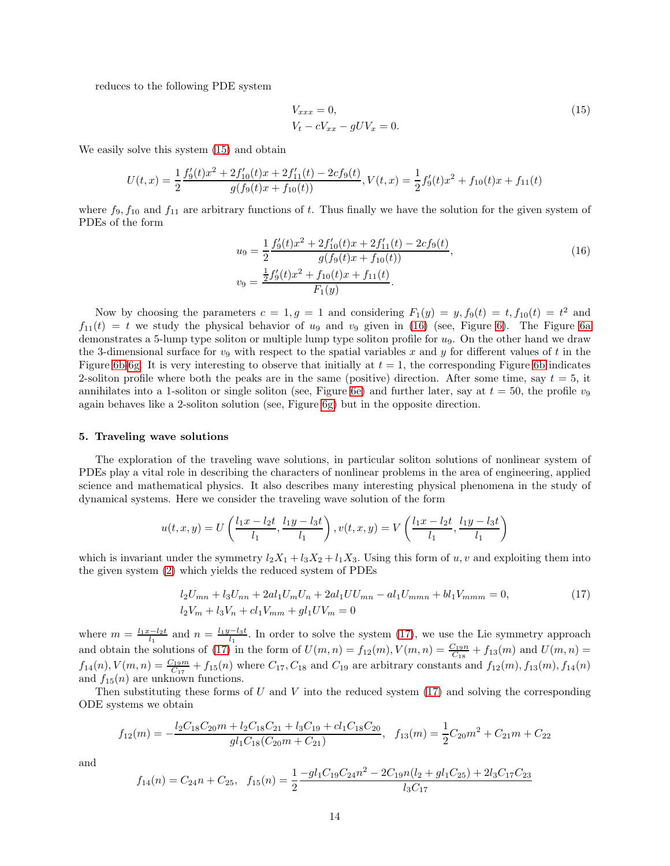reduces to the following PDE system

<span id="page-13-2"></span>
$$
V_{xxx} = 0,
$$
  
\n
$$
V_t - cV_{xx} - gUV_x = 0.
$$
\n(15)

We easily solve this system [\(15\)](#page-13-2) and obtain

$$
U(t,x) = \frac{1}{2} \frac{f_9'(t)x^2 + 2f_{10}'(t)x + 2f_{11}'(t) - 2cf_9(t)}{g(f_9(t)x + f_{10}(t))},
$$
  

$$
V(t,x) = \frac{1}{2} f_9'(t)x^2 + f_{10}(t)x + f_{11}(t)
$$

where  $f_9, f_{10}$  and  $f_{11}$  are arbitrary functions of t. Thus finally we have the solution for the given system of PDEs of the form

<span id="page-13-1"></span>
$$
u_9 = \frac{1}{2} \frac{f'_9(t)x^2 + 2f'_{10}(t)x + 2f'_{11}(t) - 2cf_9(t)}{g(f_9(t)x + f_{10}(t))},
$$
  
\n
$$
v_9 = \frac{\frac{1}{2}f'_9(t)x^2 + f_{10}(t)x + f_{11}(t)}{F_1(y)}.
$$
\n(16)

Now by choosing the parameters  $c = 1, g = 1$  and considering  $F_1(y) = y, f_9(t) = t, f_{10}(t) = t^2$  and  $f_{11}(t) = t$  we study the physical behavior of  $u_9$  and  $v_9$  given in [\(16\)](#page-13-1) (see, Figure [6\)](#page-12-0). The Figure [6a](#page-12-1) demonstrates a 5-lump type soliton or multiple lump type soliton profile for u9. On the other hand we draw the 3-dimensional surface for  $v_9$  with respect to the spatial variables x and y for different values of t in the Figure [6b](#page-12-2)[-6g.](#page-12-3) It is very interesting to observe that initially at  $t = 1$ , the corresponding Figure 6b indicates 2-soliton profile where both the peaks are in the same (positive) direction. After some time, say  $t = 5$ , it annihilates into a 1-soliton or single soliton (see, Figure [6e\)](#page-12-4) and further later, say at  $t = 50$ , the profile  $v_9$ again behaves like a 2-soliton solution (see, Figure [6g\)](#page-12-3) but in the opposite direction.

#### <span id="page-13-0"></span>5. Traveling wave solutions

The exploration of the traveling wave solutions, in particular soliton solutions of nonlinear system of PDEs play a vital role in describing the characters of nonlinear problems in the area of engineering, applied science and mathematical physics. It also describes many interesting physical phenomena in the study of dynamical systems. Here we consider the traveling wave solution of the form

$$
u(t, x, y) = U\left(\frac{l_1x - l_2t}{l_1}, \frac{l_1y - l_3t}{l_1}\right), v(t, x, y) = V\left(\frac{l_1x - l_2t}{l_1}, \frac{l_1y - l_3t}{l_1}\right)
$$

which is invariant under the symmetry  $l_2X_1 + l_3X_2 + l_1X_3$ . Using this form of u, v and exploiting them into the given system [\(2\)](#page-1-1) which yields the reduced system of PDEs

<span id="page-13-3"></span>
$$
l_2U_{mn} + l_3U_{nn} + 2al_1U_mU_n + 2al_1UU_{mn} - al_1U_{mmn} + bl_1V_{mmm} = 0,
$$
  
\n
$$
l_2V_m + l_3V_n + cl_1V_{mm} + gl_1UV_m = 0
$$
\n(17)

where  $m = \frac{l_1x - l_2t}{l_1}$  and  $n = \frac{l_1y - l_3t}{l_1}$ . In order to solve the system [\(17\)](#page-13-3), we use the Lie symmetry approach and obtain the solutions of [\(17\)](#page-13-3) in the form of  $U(m, n) = f_{12}(m)$ ,  $V(m, n) = \frac{C_{19}n}{C_{18}} + f_{13}(m)$  and  $U(m, n) =$  $f_{14}(n)$ ,  $V(m,n) = \frac{C_{19}m}{C_{17}} + f_{15}(n)$  where  $C_{17}$ ,  $C_{18}$  and  $C_{19}$  are arbitrary constants and  $f_{12}(m)$ ,  $f_{13}(m)$ ,  $f_{14}(n)$ and  $f_{15}(n)$  are unknown functions.

Then substituting these forms of U and V into the reduced system [\(17\)](#page-13-3) and solving the corresponding ODE systems we obtain

$$
f_{12}(m) = -\frac{l_2 C_{18} C_{20} m + l_2 C_{18} C_{21} + l_3 C_{19} + c l_1 C_{18} C_{20}}{gl_1 C_{18} (C_{20} m + C_{21})}, \quad f_{13}(m) = \frac{1}{2} C_{20} m^2 + C_{21} m + C_{22}
$$

and

$$
f_{14}(n) = C_{24}n + C_{25}, \quad f_{15}(n) = \frac{1 - gl_1 C_{19} C_{24} n^2 - 2C_{19} n(l_2 + gl_1 C_{25}) + 2l_3 C_{17} C_{23}}{l_3 C_{17}}
$$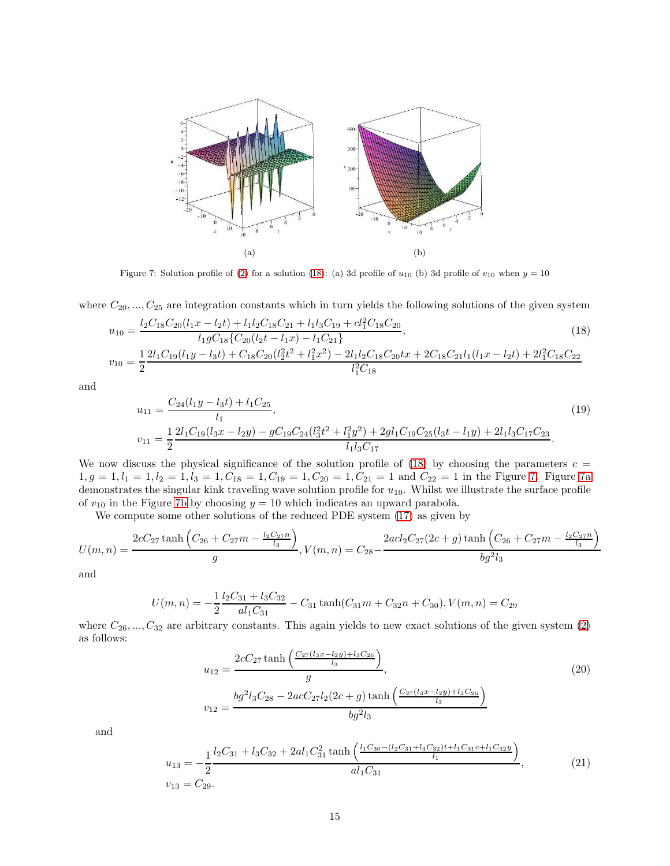<span id="page-14-2"></span><span id="page-14-1"></span>

<span id="page-14-3"></span>Figure 7: Solution profile of [\(2\)](#page-1-1) for a solution [\(18\)](#page-14-0): (a) 3d profile of  $u_{10}$  (b) 3d profile of  $v_{10}$  when  $y = 10$ 

where  $C_{20},..., C_{25}$  are integration constants which in turn yields the following solutions of the given system

<span id="page-14-0"></span>
$$
u_{10} = \frac{l_2 C_{18} C_{20} (l_1 x - l_2 t) + l_1 l_2 C_{18} C_{21} + l_1 l_3 C_{19} + c l_1^2 C_{18} C_{20}}{l_1 g C_{18} \{C_{20} (l_2 t - l_1 x) - l_1 C_{21} \}},
$$
\n
$$
v_{10} = \frac{1}{2} \frac{2l_1 C_{19} (l_1 y - l_3 t) + C_{18} C_{20} (l_2^2 t^2 + l_1^2 x^2) - 2l_1 l_2 C_{18} C_{20} t x + 2 C_{18} C_{21} l_1 (l_1 x - l_2 t) + 2l_1^2 C_{18} C_{22}}{l_1^2 C_{18}}
$$
\n
$$
(18)
$$

and

<span id="page-14-5"></span>
$$
u_{11} = \frac{C_{24}(l_{1}y - l_{3}t) + l_{1}C_{25}}{l_{1}},
$$
\n
$$
v_{11} = \frac{1}{2} \frac{2l_{1}C_{19}(l_{3}x - l_{2}y) - gC_{19}C_{24}(l_{3}^{2}t^{2} + l_{1}^{2}y^{2}) + 2gl_{1}C_{19}C_{25}(l_{3}t - l_{1}y) + 2l_{1}l_{3}C_{17}C_{23}}{l_{1}l_{3}C_{17}}.
$$
\n
$$
(19)
$$

We now discuss the physical significance of the solution profile of  $(18)$  by choosing the parameters  $c =$  $1, g = 1, l_1 = 1, l_2 = 1, l_3 = 1, C_{18} = 1, C_{19} = 1, C_{20} = 1, C_{21} = 1$  and  $C_{22} = 1$  in the Figure [7.](#page-14-1) Figure [7a](#page-14-2) demonstrates the singular kink traveling wave solution profile for  $u_{10}$ . Whilst we illustrate the surface profile of  $v_{10}$  in the Figure [7b](#page-14-3) by choosing  $y = 10$  which indicates an upward parabola.

We compute some other solutions of the reduced PDE system [\(17\)](#page-13-3) as given by

$$
U(m,n) = \frac{2cC_{27}\tanh\left(C_{26} + C_{27}m - \frac{l_2C_{27}n}{l_3}\right)}{g}, V(m,n) = C_{28} - \frac{2acl_2C_{27}(2c+g)\tanh\left(C_{26} + C_{27}m - \frac{l_2C_{27}n}{l_3}\right)}{bg^2l_3}
$$

and

$$
U(m, n) = -\frac{1}{2} \frac{l_2 C_{31} + l_3 C_{32}}{al_1 C_{31}} - C_{31} \tanh(C_{31}m + C_{32}n + C_{30}), V(m, n) = C_{29}
$$

where  $C_{26},..., C_{32}$  are arbitrary constants. This again yields to new exact solutions of the given system  $(2)$ as follows:

<span id="page-14-4"></span>
$$
u_{12} = \frac{2c_2 \tau \tanh\left(\frac{C_2 \tau (l_3 x - l_2 y) + l_3 C_2 e}{l_3}\right)}{g},
$$
  
\n
$$
v_{12} = \frac{b g^2 l_3 C_{28} - 2 a c C_2 \tau l_2 (2c + g) \tanh\left(\frac{C_2 \tau (l_3 x - l_2 y) + l_3 C_2 e}{l_3}\right)}{b g^2 l_3}
$$
\n(20)

and

<span id="page-14-6"></span>
$$
u_{13} = -\frac{1}{2} \frac{l_2 C_{31} + l_3 C_{32} + 2al_1 C_{31}^2 \tanh\left(\frac{l_1 C_{30} - (l_2 C_{31} + l_3 C_{32})t + l_1 C_{31}c + l_1 C_{32}y}{l_1}\right)}{al_1 C_{31}},
$$
\n
$$
v_{13} = C_{29}.
$$
\n(21)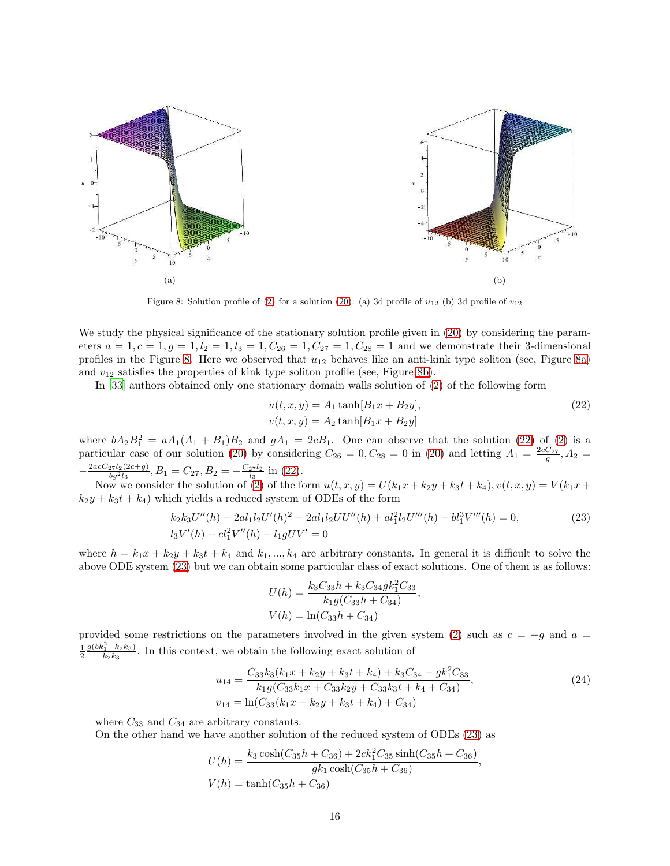<span id="page-15-1"></span><span id="page-15-0"></span>

Figure 8: Solution profile of [\(2\)](#page-1-1) for a solution [\(20\)](#page-14-4): (a) 3d profile of  $u_{12}$  (b) 3d profile of  $v_{12}$ 

We study the physical significance of the stationary solution profile given in  $(20)$  by considering the parameters  $a = 1, c = 1, g = 1, l_2 = 1, l_3 = 1, C_{26} = 1, C_{27} = 1, C_{28} = 1$  and we demonstrate their 3-dimensional profiles in the Figure [8.](#page-15-0) Here we observed that  $u_{12}$  behaves like an anti-kink type soliton (see, Figure [8a\)](#page-15-1) and  $v_{12}$  satisfies the properties of kink type soliton profile (see, Figure [8b\)](#page-15-2).

In [\[33](#page-22-15)] authors obtained only one stationary domain walls solution of [\(2\)](#page-1-1) of the following form

<span id="page-15-3"></span><span id="page-15-2"></span>
$$
u(t, x, y) = A_1 \tanh[B_1 x + B_2 y],
$$
  
\n
$$
v(t, x, y) = A_2 \tanh[B_1 x + B_2 y]
$$
\n(22)

where  $bA_2B_1^2 = aA_1(A_1 + B_1)B_2$  and  $gA_1 = 2cB_1$ . One can observe that the solution [\(22\)](#page-15-3) of [\(2\)](#page-1-1) is a particular case of our solution [\(20\)](#page-14-4) by considering  $C_{26} = 0, C_{28} = 0$  in (20) and letting  $A_1 = \frac{2cC_{27}}{g}, A_2 =$  $-\frac{2acC_{27}l_2(2c+g)}{bg^2l_3}, B_1 = C_{27}, B_2 = -\frac{C_{27}l_2}{l_3}$  in [\(22\)](#page-15-3).

Now we consider the solution of [\(2\)](#page-1-1) of the form  $u(t, x, y) = U(k_1x + k_2y + k_3t + k_4), v(t, x, y) = V(k_1x + k_2y + k_3t + k_4)$  $k_2y + k_3t + k_4$ ) which yields a reduced system of ODEs of the form

<span id="page-15-4"></span>
$$
k_2 k_3 U''(h) - 2al_1 l_2 U'(h)^2 - 2al_1 l_2 U U''(h) + al_1^2 l_2 U'''(h) - bl_1^3 V'''(h) = 0,
$$
  
\n
$$
l_3 V'(h) - cl_1^2 V''(h) - l_1 g U V' = 0
$$
\n(23)

where  $h = k_1x + k_2y + k_3t + k_4$  and  $k_1, ..., k_4$  are arbitrary constants. In general it is difficult to solve the above ODE system [\(23\)](#page-15-4) but we can obtain some particular class of exact solutions. One of them is as follows:

$$
U(h) = \frac{k_3 C_{33} h + k_3 C_{34} g k_1^2 C_{33}}{k_1 g (C_{33} h + C_{34})},
$$
  

$$
V(h) = \ln(C_{33} h + C_{34})
$$

provided some restrictions on the parameters involved in the given system [\(2\)](#page-1-1) such as  $c = -g$  and  $a =$  $\frac{1}{2}$  $\frac{g(bk_1^2+k_2k_3)}{k_2k_3}$ . In this context, we obtain the following exact solution of

<span id="page-15-5"></span>
$$
u_{14} = \frac{C_{33}k_3(k_1x + k_2y + k_3t + k_4) + k_3C_{34} - g k_1^2C_{33}}{k_1g(C_{33}k_1x + C_{33}k_2y + C_{33}k_3t + k_4 + C_{34})},
$$
  
\n
$$
v_{14} = \ln(C_{33}(k_1x + k_2y + k_3t + k_4) + C_{34})
$$
\n(24)

,

where  $C_{33}$  and  $C_{34}$  are arbitrary constants.

On the other hand we have another solution of the reduced system of ODEs [\(23\)](#page-15-4) as

$$
U(h) = \frac{k_3 \cosh(C_{35}h + C_{36}) + 2ck_1^2C_{35}\sinh(C_{35}h + C_{36})}{g k_1 \cosh(C_{35}h + C_{36})}
$$

$$
V(h) = \tanh(C_{35}h + C_{36})
$$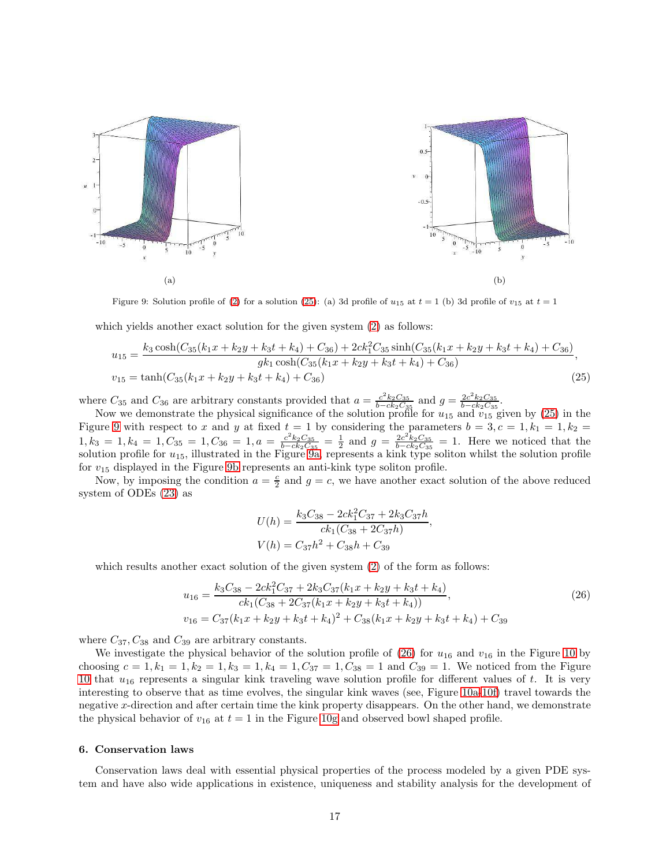<span id="page-16-3"></span><span id="page-16-2"></span>

Figure 9: Solution profile of [\(2\)](#page-1-1) for a solution [\(25\)](#page-16-1): (a) 3d profile of  $u_{15}$  at  $t = 1$  (b) 3d profile of  $v_{15}$  at  $t = 1$ 

which yields another exact solution for the given system  $(2)$  as follows:

<span id="page-16-1"></span>
$$
u_{15} = \frac{k_3 \cosh(C_{35}(k_1x + k_2y + k_3t + k_4) + C_{36}) + 2ck_1^2C_{35}\sinh(C_{35}(k_1x + k_2y + k_3t + k_4) + C_{36})}{g k_1 \cosh(C_{35}(k_1x + k_2y + k_3t + k_4) + C_{36})},
$$
  
\n
$$
v_{15} = \tanh(C_{35}(k_1x + k_2y + k_3t + k_4) + C_{36})
$$
\n(25)

where  $C_{35}$  and  $C_{36}$  are arbitrary constants provided that  $a = \frac{c^2 k_2 C_{35}}{b - c k_2 C_3}$  $\frac{c^2 k_2 C_{35}}{b - c k_2 C_{35}}$  and  $g = \frac{2c^2 k_2 C_{35}}{b - c k_2 C_{35}}$  $\frac{2c^-k_2C_{35}}{b-ck_2C_{35}}$ .

Now we demonstrate the physical significance of the solution profile for  $u_{15}$  and  $v_{15}$  given by [\(25\)](#page-16-1) in the Figure [9](#page-16-2) with respect to x and y at fixed  $t = 1$  by considering the parameters  $b = 3, c = 1, k_1 = 1, k_2 =$  $\overline{1, k_3} = 1, k_4 = 1, C_{35} = 1, C_{36} = 1, a = \frac{c^2 k_2 C_{35}}{b - c k_3 C_3}$  $\frac{c^2k_2C_{35}}{b-ck_2C_{35}} = \frac{1}{2}$  and  $g = \frac{2c^2k_2C_{35}}{b-ck_2C_{35}}$  $\frac{2c^2k_2C_{35}}{b-ck_2C_{35}} = 1.$  Here we noticed that the solution profile for  $u_{15}$ , illustrated in the Figure  $9a$ , represents a kink type soliton whilst the solution profile for  $v_{15}$  displayed in the Figure [9b](#page-16-4) represents an anti-kink type soliton profile.

Now, by imposing the condition  $a = \frac{c}{2}$  and  $g = c$ , we have another exact solution of the above reduced system of ODEs [\(23\)](#page-15-4) as

$$
U(h) = \frac{k_3 C_{38} - 2ck_1^2 C_{37} + 2k_3 C_{37}h}{ck_1(C_{38} + 2C_{37}h)}
$$

$$
V(h) = C_{37}h^2 + C_{38}h + C_{39}
$$

which results another exact solution of the given system  $(2)$  of the form as follows:

<span id="page-16-5"></span>
$$
u_{16} = \frac{k_3 C_{38} - 2ck_1^2 C_{37} + 2k_3 C_{37}(k_1 x + k_2 y + k_3 t + k_4)}{ck_1(C_{38} + 2C_{37}(k_1 x + k_2 y + k_3 t + k_4))},
$$
  
\n
$$
v_{16} = C_{37}(k_1 x + k_2 y + k_3 t + k_4)^2 + C_{38}(k_1 x + k_2 y + k_3 t + k_4) + C_{39}
$$
\n(26)

<span id="page-16-4"></span>,

where  $C_{37}$ ,  $C_{38}$  and  $C_{39}$  are arbitrary constants.

We investigate the physical behavior of the solution profile of  $(26)$  for  $u_{16}$  and  $v_{16}$  in the Figure [10](#page-17-0) by choosing  $c = 1, k_1 = 1, k_2 = 1, k_3 = 1, k_4 = 1, C_{37} = 1, C_{38} = 1$  and  $C_{39} = 1$ . We noticed from the Figure [10](#page-17-0) that  $u_{16}$  represents a singular kink traveling wave solution profile for different values of t. It is very interesting to observe that as time evolves, the singular kink waves (see, Figure [10a-](#page-17-1)[10f\)](#page-17-2) travel towards the negative x-direction and after certain time the kink property disappears. On the other hand, we demonstrate the physical behavior of  $v_{16}$  at  $t = 1$  in the Figure [10g](#page-17-3) and observed bowl shaped profile.

#### <span id="page-16-0"></span>6. Conservation laws

Conservation laws deal with essential physical properties of the process modeled by a given PDE system and have also wide applications in existence, uniqueness and stability analysis for the development of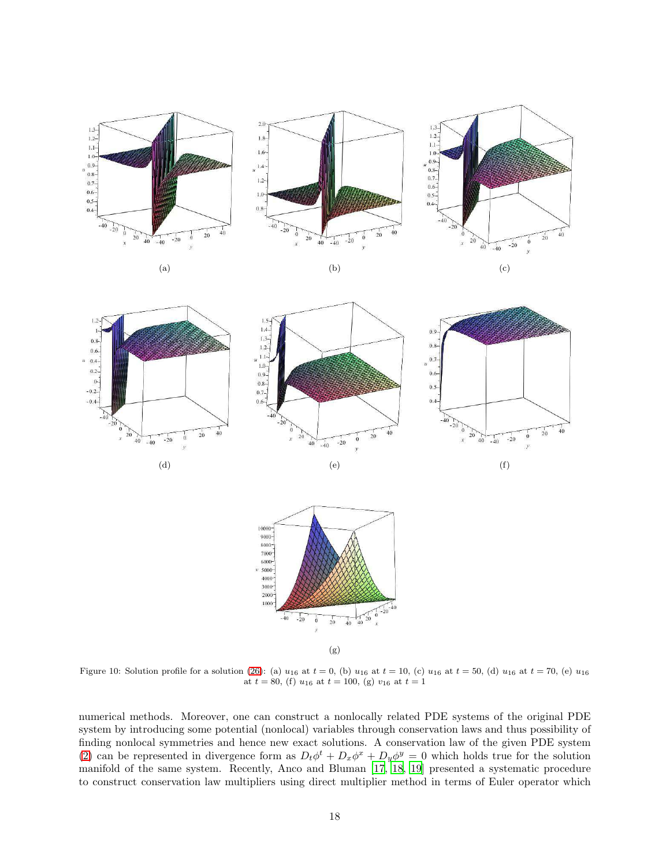<span id="page-17-1"></span><span id="page-17-0"></span>

<span id="page-17-3"></span><span id="page-17-2"></span>Figure 10: Solution profile for a solution [\(26\)](#page-16-5): (a)  $u_{16}$  at  $t = 0$ , (b)  $u_{16}$  at  $t = 10$ , (c)  $u_{16}$  at  $t = 50$ , (d)  $u_{16}$  at  $t = 70$ , (e)  $u_{16}$ at  $t = 80$ , (f)  $u_{16}$  at  $t = 100$ , (g)  $v_{16}$  at  $t = 1$ 

numerical methods. Moreover, one can construct a nonlocally related PDE systems of the original PDE system by introducing some potential (nonlocal) variables through conservation laws and thus possibility of finding nonlocal symmetries and hence new exact solutions. A conservation law of the given PDE system [\(2\)](#page-1-1) can be represented in divergence form as  $D_t\phi^t + D_x\phi^x + D_y\phi^y = 0$  which holds true for the solution manifold of the same system. Recently, Anco and Bluman [\[17,](#page-21-16) [18,](#page-22-0) [19\]](#page-22-1) presented a systematic procedure to construct conservation law multipliers using direct multiplier method in terms of Euler operator which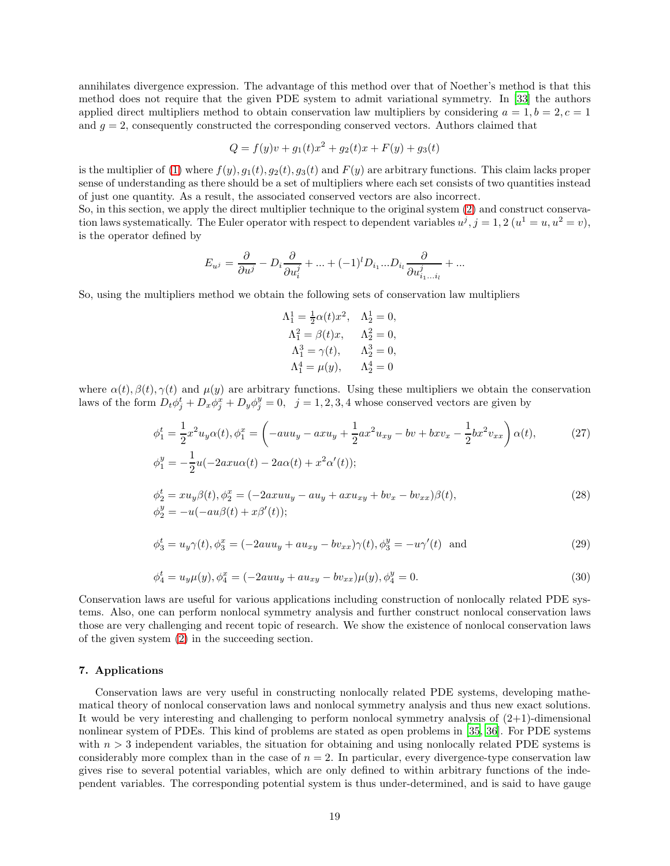annihilates divergence expression. The advantage of this method over that of Noether's method is that this method does not require that the given PDE system to admit variational symmetry. In [\[33\]](#page-22-15) the authors applied direct multipliers method to obtain conservation law multipliers by considering  $a = 1, b = 2, c = 1$ and  $g = 2$ , consequently constructed the corresponding conserved vectors. Authors claimed that

$$
Q = f(y)v + g_1(t)x^2 + g_2(t)x + F(y) + g_3(t)
$$

is the multiplier of [\(1\)](#page-1-0) where  $f(y)$ ,  $g_1(t)$ ,  $g_2(t)$ ,  $g_3(t)$  and  $F(y)$  are arbitrary functions. This claim lacks proper sense of understanding as there should be a set of multipliers where each set consists of two quantities instead of just one quantity. As a result, the associated conserved vectors are also incorrect.

So, in this section, we apply the direct multiplier technique to the original system [\(2\)](#page-1-1) and construct conservation laws systematically. The Euler operator with respect to dependent variables  $u^j$ ,  $j = 1, 2$   $(u^1 = u, u^2 = v)$ , is the operator defined by

$$
E_{u^j} = \frac{\partial}{\partial u^j} - D_i \frac{\partial}{\partial u_i^j} + \dots + (-1)^l D_{i_1} \dots D_{i_l} \frac{\partial}{\partial u_{i_1 \dots i_l}^j} + \dots
$$

So, using the multipliers method we obtain the following sets of conservation law multipliers

$$
\Lambda_1^1 = \frac{1}{2}\alpha(t)x^2, \quad \Lambda_2^1 = 0, \n\Lambda_1^2 = \beta(t)x, \quad \Lambda_2^2 = 0, \n\Lambda_1^3 = \gamma(t), \quad \Lambda_2^3 = 0, \n\Lambda_1^4 = \mu(y), \quad \Lambda_2^4 = 0
$$

where  $\alpha(t), \beta(t), \gamma(t)$  and  $\mu(y)$  are arbitrary functions. Using these multipliers we obtain the conservation laws of the form  $D_t \phi_j^t + D_x \phi_j^x + D_y \phi_j^y = 0$ ,  $j = 1, 2, 3, 4$  whose conserved vectors are given by

$$
\phi_1^t = \frac{1}{2}x^2u_y\alpha(t), \phi_1^x = \left(-auu_y - axu_y + \frac{1}{2}ax^2u_{xy} - bv + b x v_x - \frac{1}{2}bx^2v_{xx}\right)\alpha(t),
$$
\n
$$
\phi_1^y = -\frac{1}{2}u(-2axu\alpha(t) - 2a\alpha(t) + x^2\alpha'(t));
$$
\n
$$
\phi_2^t = xu_y\beta(t), \phi_2^x = (-2axuu_y - au_y + axu_{xy} + bv_x - bv_{xx})\beta(t),
$$
\n
$$
\phi_2^y = -u(-au\beta(t) + x\beta'(t));
$$
\n(28)

$$
\phi_3^t = u_y \gamma(t), \phi_3^x = (-2auu_y + au_{xy} - bv_{xx})\gamma(t), \phi_3^y = -u\gamma'(t) \text{ and } (29)
$$

$$
\phi_4^t = u_y \mu(y), \phi_4^x = (-2auu_y + au_{xy} - bv_{xx})\mu(y), \phi_4^y = 0.
$$
\n(30)

Conservation laws are useful for various applications including construction of nonlocally related PDE systems. Also, one can perform nonlocal symmetry analysis and further construct nonlocal conservation laws those are very challenging and recent topic of research. We show the existence of nonlocal conservation laws of the given system [\(2\)](#page-1-1) in the succeeding section.

## <span id="page-18-0"></span>7. Applications

Conservation laws are very useful in constructing nonlocally related PDE systems, developing mathematical theory of nonlocal conservation laws and nonlocal symmetry analysis and thus new exact solutions. It would be very interesting and challenging to perform nonlocal symmetry analysis of  $(2+1)$ -dimensional nonlinear system of PDEs. This kind of problems are stated as open problems in [\[35,](#page-22-17) [36\]](#page-22-18). For PDE systems with  $n > 3$  independent variables, the situation for obtaining and using nonlocally related PDE systems is considerably more complex than in the case of  $n = 2$ . In particular, every divergence-type conservation law gives rise to several potential variables, which are only defined to within arbitrary functions of the independent variables. The corresponding potential system is thus under-determined, and is said to have gauge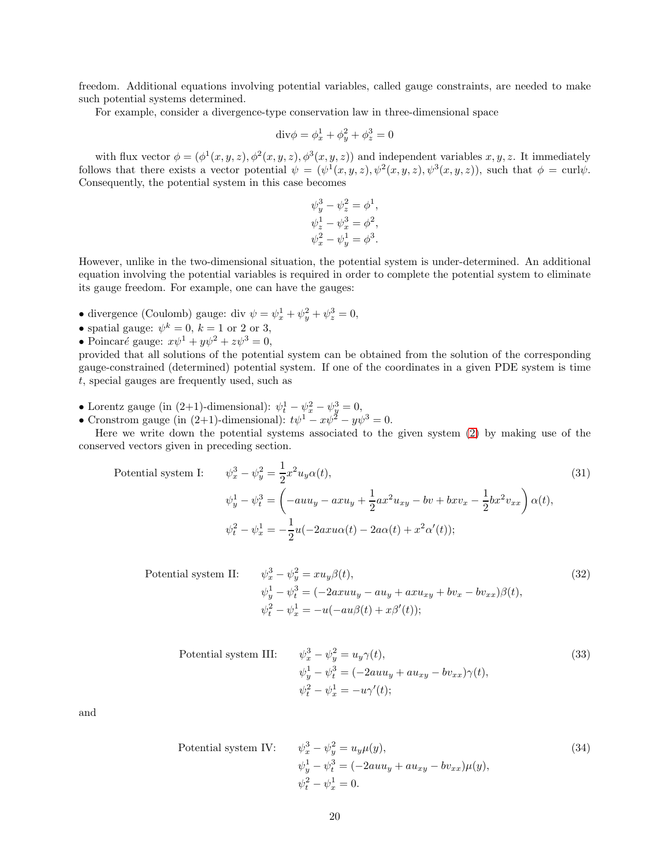freedom. Additional equations involving potential variables, called gauge constraints, are needed to make such potential systems determined.

For example, consider a divergence-type conservation law in three-dimensional space

$$
\mathrm{div}\phi = \phi_x^1 + \phi_y^2 + \phi_z^3 = 0
$$

with flux vector  $\phi = (\phi^1(x, y, z), \phi^2(x, y, z), \phi^3(x, y, z))$  and independent variables  $x, y, z$ . It immediately follows that there exists a vector potential  $\psi = (\psi^1(x, y, z), \psi^2(x, y, z), \psi^3(x, y, z))$ , such that  $\phi = \text{curl}\psi$ . Consequently, the potential system in this case becomes

$$
\begin{aligned} \psi_y^3 - \psi_z^2 &= \phi^1, \\ \psi_z^1 - \psi_x^3 &= \phi^2, \\ \psi_x^2 - \psi_y^1 &= \phi^3. \end{aligned}
$$

However, unlike in the two-dimensional situation, the potential system is under-determined. An additional equation involving the potential variables is required in order to complete the potential system to eliminate its gauge freedom. For example, one can have the gauges:

- divergence (Coulomb) gauge: div  $\psi = \psi_x^1 + \psi_y^2 + \psi_z^3 = 0$ ,
- spatial gauge:  $\psi^k = 0$ ,  $k = 1$  or 2 or 3,
- Poincaré gauge:  $x\psi^1 + y\psi^2 + z\psi^3 = 0$ ,

provided that all solutions of the potential system can be obtained from the solution of the corresponding gauge-constrained (determined) potential system. If one of the coordinates in a given PDE system is time t, special gauges are frequently used, such as

- Lorentz gauge (in (2+1)-dimensional):  $\psi_t^1 \psi_x^2 \psi_y^3 = 0$ ,
- Cronstrom gauge (in (2+1)-dimensional):  $t\psi^1 x\psi^2 y\psi^3 = 0$ .

Here we write down the potential systems associated to the given system [\(2\)](#page-1-1) by making use of the conserved vectors given in preceding section.

<span id="page-19-0"></span>Potential system I: 
$$
\psi_x^3 - \psi_y^2 = \frac{1}{2} x^2 u_y \alpha(t),
$$

$$
\psi_y^1 - \psi_t^3 = \left( -auu_y - axu_y + \frac{1}{2} ax^2 u_{xy} - bv + b x v_x - \frac{1}{2} bx^2 v_{xx} \right) \alpha(t),
$$

$$
\psi_t^2 - \psi_x^1 = -\frac{1}{2} u(-2axu\alpha(t) - 2a\alpha(t) + x^2 \alpha'(t));
$$
(31)

Potential system II: 
$$
\psi_x^3 - \psi_y^2 = xu_y \beta(t),
$$

$$
\psi_y^1 - \psi_t^3 = (-2axuu_y - au_y + axu_{xy} + bv_x - bv_{xx})\beta(t),
$$

$$
\psi_t^2 - \psi_x^1 = -u(-au\beta(t) + x\beta'(t));
$$
(32)

Potential system III: 
$$
\psi_x^3 - \psi_y^2 = u_y \gamma(t),
$$

$$
\psi_y^1 - \psi_t^3 = (-2auu_y + au_{xy} - bv_{xx})\gamma(t),
$$

$$
\psi_t^2 - \psi_x^1 = -u\gamma'(t);
$$

$$
(33)
$$

and

Potential system IV: 
$$
\psi_x^3 - \psi_y^2 = u_y \mu(y),
$$

$$
\psi_y^1 - \psi_t^3 = (-2auu_y + au_{xy} - bv_{xx})\mu(y),
$$

$$
\psi_t^2 - \psi_x^1 = 0.
$$
 (34)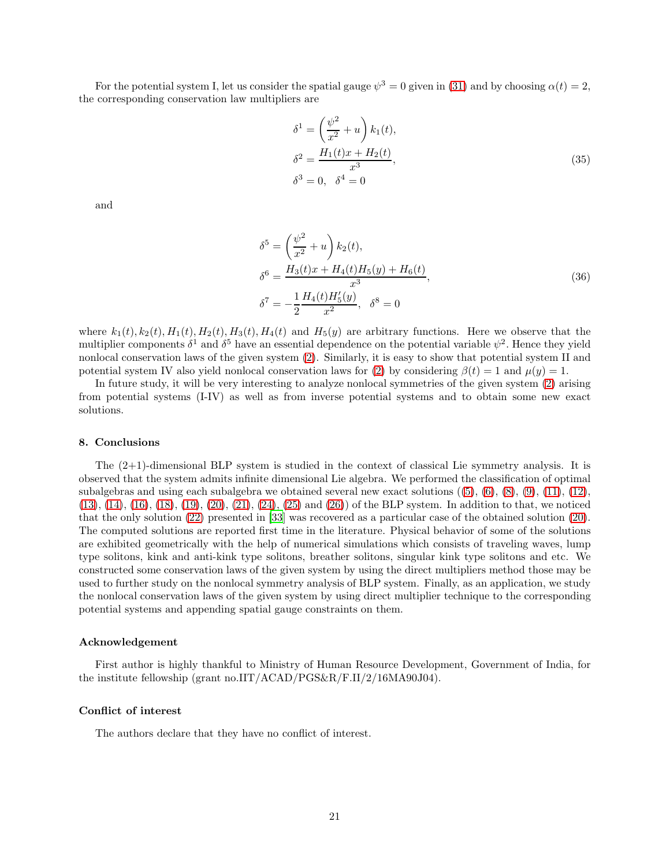For the potential system I, let us consider the spatial gauge  $\psi^3 = 0$  given in [\(31\)](#page-19-0) and by choosing  $\alpha(t) = 2$ , the corresponding conservation law multipliers are

$$
\delta^{1} = \left(\frac{\psi^{2}}{x^{2}} + u\right) k_{1}(t),
$$
  
\n
$$
\delta^{2} = \frac{H_{1}(t)x + H_{2}(t)}{x^{3}},
$$
  
\n
$$
\delta^{3} = 0, \quad \delta^{4} = 0
$$
\n(35)

and

$$
\delta^5 = \left(\frac{\psi^2}{x^2} + u\right) k_2(t),
$$
  
\n
$$
\delta^6 = \frac{H_3(t)x + H_4(t)H_5(y) + H_6(t)}{x^3},
$$
  
\n
$$
\delta^7 = -\frac{1}{2} \frac{H_4(t)H_5'(y)}{x^2}, \quad \delta^8 = 0
$$
\n(36)

where  $k_1(t)$ ,  $k_2(t)$ ,  $H_1(t)$ ,  $H_2(t)$ ,  $H_3(t)$ ,  $H_4(t)$  and  $H_5(y)$  are arbitrary functions. Here we observe that the multiplier components  $\delta^1$  and  $\delta^5$  have an essential dependence on the potential variable  $\psi^2$ . Hence they yield nonlocal conservation laws of the given system [\(2\)](#page-1-1). Similarly, it is easy to show that potential system II and potential system IV also yield nonlocal conservation laws for [\(2\)](#page-1-1) by considering  $\beta(t) = 1$  and  $\mu(y) = 1$ .

In future study, it will be very interesting to analyze nonlocal symmetries of the given system [\(2\)](#page-1-1) arising from potential systems (I-IV) as well as from inverse potential systems and to obtain some new exact solutions.

#### <span id="page-20-0"></span>8. Conclusions

The (2+1)-dimensional BLP system is studied in the context of classical Lie symmetry analysis. It is observed that the system admits infinite dimensional Lie algebra. We performed the classification of optimal subalgebras and using each subalgebra we obtained several new exact solutions  $((5), (6), (8), (9), (11), (12),$  $((5), (6), (8), (9), (11), (12),$  $((5), (6), (8), (9), (11), (12),$  $((5), (6), (8), (9), (11), (12),$  $((5), (6), (8), (9), (11), (12),$  $((5), (6), (8), (9), (11), (12),$  $((5), (6), (8), (9), (11), (12),$  $((5), (6), (8), (9), (11), (12),$  $((5), (6), (8), (9), (11), (12),$  $((5), (6), (8), (9), (11), (12),$  $((5), (6), (8), (9), (11), (12),$  $((5), (6), (8), (9), (11), (12),$  $((5), (6), (8), (9), (11), (12),$ [\(13\)](#page-10-1), [\(14\)](#page-10-2), [\(16\)](#page-13-1), [\(18\)](#page-14-0), [\(19\)](#page-14-5), [\(20\)](#page-14-4), [\(21\)](#page-14-6), [\(24\)](#page-15-5), [\(25\)](#page-16-1) and [\(26\)](#page-16-5)) of the BLP system. In addition to that, we noticed that the only solution [\(22\)](#page-15-3) presented in [\[33](#page-22-15)] was recovered as a particular case of the obtained solution [\(20\)](#page-14-4). The computed solutions are reported first time in the literature. Physical behavior of some of the solutions are exhibited geometrically with the help of numerical simulations which consists of traveling waves, lump type solitons, kink and anti-kink type solitons, breather solitons, singular kink type solitons and etc. We constructed some conservation laws of the given system by using the direct multipliers method those may be used to further study on the nonlocal symmetry analysis of BLP system. Finally, as an application, we study the nonlocal conservation laws of the given system by using direct multiplier technique to the corresponding potential systems and appending spatial gauge constraints on them.

# Acknowledgement

First author is highly thankful to Ministry of Human Resource Development, Government of India, for the institute fellowship (grant no.IIT/ACAD/PGS&R/F.II/2/16MA90J04).

# Conflict of interest

The authors declare that they have no conflict of interest.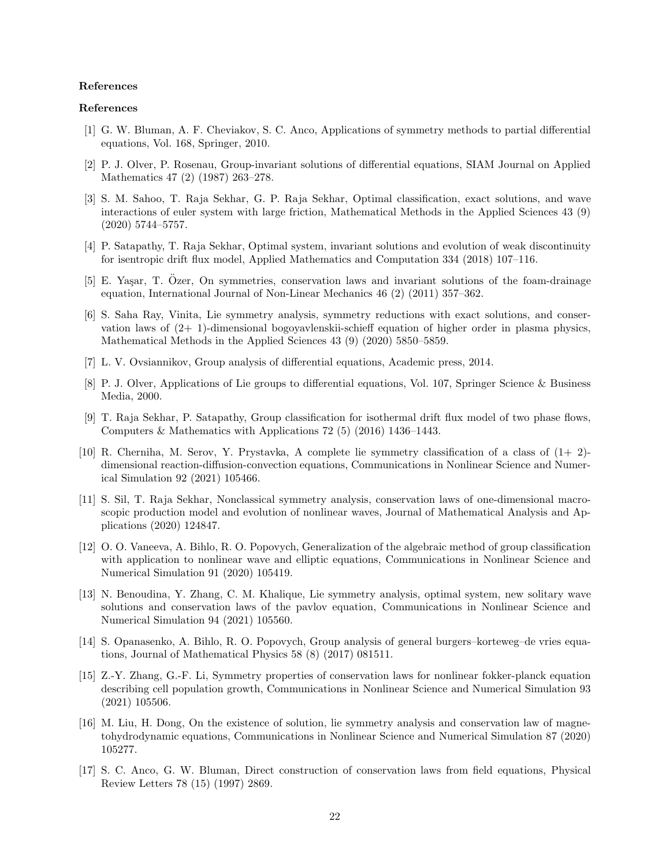#### References

# References

- <span id="page-21-0"></span>[1] G. W. Bluman, A. F. Cheviakov, S. C. Anco, Applications of symmetry methods to partial differential equations, Vol. 168, Springer, 2010.
- <span id="page-21-1"></span>[2] P. J. Olver, P. Rosenau, Group-invariant solutions of differential equations, SIAM Journal on Applied Mathematics 47 (2) (1987) 263–278.
- <span id="page-21-2"></span>[3] S. M. Sahoo, T. Raja Sekhar, G. P. Raja Sekhar, Optimal classification, exact solutions, and wave interactions of euler system with large friction, Mathematical Methods in the Applied Sciences 43 (9) (2020) 5744–5757.
- <span id="page-21-3"></span>[4] P. Satapathy, T. Raja Sekhar, Optimal system, invariant solutions and evolution of weak discontinuity for isentropic drift flux model, Applied Mathematics and Computation 334 (2018) 107–116.
- <span id="page-21-4"></span>[5] E. Yasar, T. Ozer, On symmetries, conservation laws and invariant solutions of the foam-drainage equation, International Journal of Non-Linear Mechanics 46 (2) (2011) 357–362.
- <span id="page-21-5"></span>[6] S. Saha Ray, Vinita, Lie symmetry analysis, symmetry reductions with exact solutions, and conservation laws of (2+ 1)-dimensional bogoyavlenskii-schieff equation of higher order in plasma physics, Mathematical Methods in the Applied Sciences 43 (9) (2020) 5850–5859.
- <span id="page-21-6"></span>[7] L. V. Ovsiannikov, Group analysis of differential equations, Academic press, 2014.
- <span id="page-21-7"></span>[8] P. J. Olver, Applications of Lie groups to differential equations, Vol. 107, Springer Science & Business Media, 2000.
- <span id="page-21-8"></span>[9] T. Raja Sekhar, P. Satapathy, Group classification for isothermal drift flux model of two phase flows, Computers & Mathematics with Applications 72 (5) (2016) 1436–1443.
- <span id="page-21-9"></span>[10] R. Cherniha, M. Serov, Y. Prystavka, A complete lie symmetry classification of a class of (1+ 2) dimensional reaction-diffusion-convection equations, Communications in Nonlinear Science and Numerical Simulation 92 (2021) 105466.
- <span id="page-21-10"></span>[11] S. Sil, T. Raja Sekhar, Nonclassical symmetry analysis, conservation laws of one-dimensional macroscopic production model and evolution of nonlinear waves, Journal of Mathematical Analysis and Applications (2020) 124847.
- <span id="page-21-11"></span>[12] O. O. Vaneeva, A. Bihlo, R. O. Popovych, Generalization of the algebraic method of group classification with application to nonlinear wave and elliptic equations, Communications in Nonlinear Science and Numerical Simulation 91 (2020) 105419.
- <span id="page-21-12"></span>[13] N. Benoudina, Y. Zhang, C. M. Khalique, Lie symmetry analysis, optimal system, new solitary wave solutions and conservation laws of the pavlov equation, Communications in Nonlinear Science and Numerical Simulation 94 (2021) 105560.
- <span id="page-21-13"></span>[14] S. Opanasenko, A. Bihlo, R. O. Popovych, Group analysis of general burgers–korteweg–de vries equations, Journal of Mathematical Physics 58 (8) (2017) 081511.
- <span id="page-21-14"></span>[15] Z.-Y. Zhang, G.-F. Li, Symmetry properties of conservation laws for nonlinear fokker-planck equation describing cell population growth, Communications in Nonlinear Science and Numerical Simulation 93 (2021) 105506.
- <span id="page-21-15"></span>[16] M. Liu, H. Dong, On the existence of solution, lie symmetry analysis and conservation law of magnetohydrodynamic equations, Communications in Nonlinear Science and Numerical Simulation 87 (2020) 105277.
- <span id="page-21-16"></span>[17] S. C. Anco, G. W. Bluman, Direct construction of conservation laws from field equations, Physical Review Letters 78 (15) (1997) 2869.